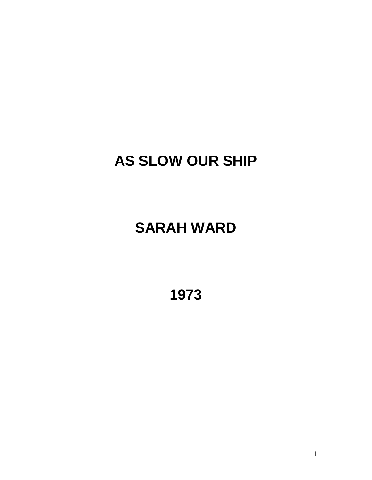# **AS SLOW OUR SHIP**

# **SARAH WARD**

**1973**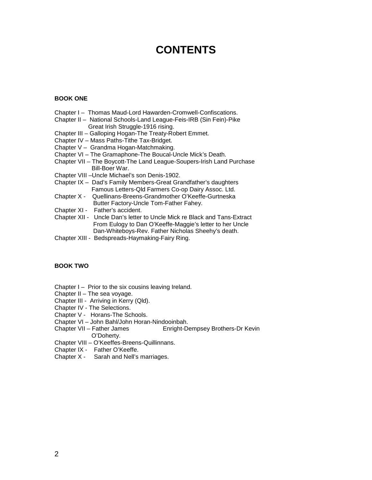# **CONTENTS**

#### **BOOK ONE**

- Chapter I Thomas Maud-Lord Hawarden-Cromwell-Confiscations.
- Chapter II National Schools-Land League-Feis-IRB (Sin Fein)-Pike Great Irish Struggle-1916 rising.
- Chapter III Galloping Hogan-The Treaty-Robert Emmet.
- Chapter IV Mass Paths-Tithe Tax-Bridget.
- Chapter V Grandma Hogan-Matchmaking.
- Chapter VI The Gramaphone-The Boucal-Uncle Mick's Death.
- Chapter VII The Boycott-The Land League-Soupers-Irish Land Purchase Bill-Boer War.
- Chapter VIII –Uncle Michael's son Denis-1902.
- Chapter IX Dad's Family Members-Great Grandfather's daughters Famous Letters-Qld Farmers Co-op Dairy Assoc. Ltd.
- Chapter X Quellinans-Breens-Grandmother O'Keeffe-Gurtneska Butter Factory-Uncle Tom-Father Fahey.
- Chapter XI Father's accident.
- Chapter XII Uncle Dan's letter to Uncle Mick re Black and Tans-Extract From Eulogy to Dan O'Keeffe-Maggie's letter to her Uncle Dan-Whiteboys-Rev. Father Nicholas Sheehy's death.
- Chapter XIII Bedspreads-Haymaking-Fairy Ring.

#### **BOOK TWO**

- Chapter I Prior to the six cousins leaving Ireland.
- Chapter II The sea voyage.
- Chapter III Arriving in Kerry (Qld).
- Chapter IV The Selections.
- Chapter V Horans-The Schools.
- Chapter VI John Bahl/John Horan-Nindooinbah.
- Chapter VII Father James Enright-Dempsey Brothers-Dr Kevin O'Doherty.
- Chapter VIII O'Keeffes-Breens-Quillinnans.
- Chapter IX Father O'Keeffe.
- Chapter X Sarah and Nell's marriages.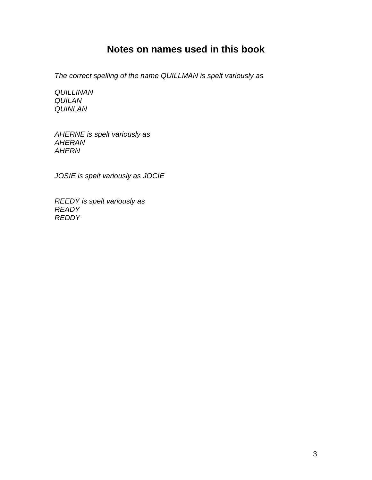# **Notes on names used in this book**

*The correct spelling of the name QUILLMAN is spelt variously as*

*QUILLINAN QUILAN QUINLAN*

*AHERNE is spelt variously as AHERAN AHERN*

*JOSIE is spelt variously as JOCIE*

*REEDY is spelt variously as READY REDDY*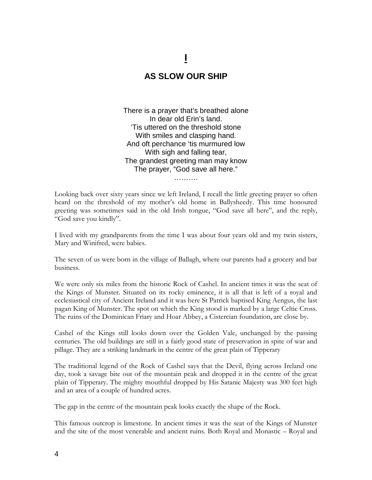# **I**

## **AS SLOW OUR SHIP**

There is a prayer that's breathed alone In dear old Erin's land. 'Tis uttered on the threshold stone With smiles and clasping hand. And oft perchance 'tis murmured low With sigh and falling tear, The grandest greeting man may know The prayer, "God save all here."

Looking back over sixty years since we left Ireland, I recall the little greeting prayer so often heard on the threshold of my mother's old home in Ballysheedy. This time honoured greeting was sometimes said in the old Irish tongue, "God save all here", and the reply, "God save you kindly".

…………

I lived with my grandparents from the time I was about four years old and my twin sisters, Mary and Winifred, were babies.

The seven of us were born in the village of Ballagh, where our parents had a grocery and bar business.

We were only six miles from the historic Rock of Cashel. In ancient times it was the seat of the Kings of Munster. Situated on its rocky eminence, it is all that is left of a royal and ecclesiastical city of Ancient Ireland and it was here St Patrick baptised King Aengus, the last pagan King of Munster. The spot on which the King stood is marked by a large Celtic Cross. The ruins of the Dominican Friary and Hoar Abbey, a Cistercian foundation, are close by.

Cashel of the Kings still looks down over the Golden Vale, unchanged by the passing centuries. The old buildings are still in a fairly good state of preservation in spite of war and pillage. They are a striking landmark in the centre of the great plain of Tipperary

The traditional legend of the Rock of Cashel says that the Devil, flying across Ireland one day, took a savage bite out of the mountain peak and dropped it in the centre of the great plain of Tipperary. The mighty mouthful dropped by His Satanic Majesty was 300 feet high and an area of a couple of hundred acres.

The gap in the centre of the mountain peak looks exactly the shape of the Rock.

This famous outcrop is limestone. In ancient times it was the seat of the Kings of Munster and the site of the most venerable and ancient ruins. Both Royal and Monastic – Royal and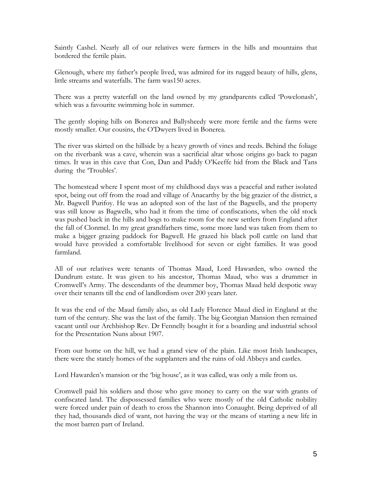Saintly Cashel. Nearly all of our relatives were farmers in the hills and mountains that bordered the fertile plain.

Glenough, where my father's people lived, was admired for its rugged beauty of hills, glens, little streams and waterfalls. The farm was150 acres.

There was a pretty waterfall on the land owned by my grandparents called 'Powelonash', which was a favourite swimming hole in summer.

The gently sloping hills on Bonerea and Ballysheedy were more fertile and the farms were mostly smaller. Our cousins, the O'Dwyers lived in Bonerea.

The river was skirted on the hillside by a heavy growth of vines and reeds. Behind the foliage on the riverbank was a cave, wherein was a sacrificial altar whose origins go back to pagan times. It was in this cave that Con, Dan and Paddy O'Keeffe hid from the Black and Tans during the 'Troubles'.

The homestead where I spent most of my childhood days was a peaceful and rather isolated spot, being out off from the road and village of Anacarthy by the big grazier of the district, a Mr. Bagwell Purifoy. He was an adopted son of the last of the Bagwells, and the property was still know as Bagwells, who had it from the time of confiscations, when the old stock was pushed back in the hills and bogs to make room for the new settlers from England after the fall of Clonmel. In my great grandfathers time, some more land was taken from them to make a bigger grazing paddock for Bagwell. He grazed his black poll cattle on land that would have provided a comfortable livelihood for seven or eight families. It was good farmland.

All of our relatives were tenants of Thomas Maud, Lord Hawarden, who owned the Dundrum estate. It was given to his ancestor, Thomas Maud, who was a drummer in Cromwell's Army. The descendants of the drummer boy, Thomas Maud held despotic sway over their tenants till the end of landlordism over 200 years later.

It was the end of the Maud family also, as old Lady Florence Maud died in England at the turn of the century. She was the last of the family. The big Georgian Mansion then remained vacant until our Archbishop Rev. Dr Fennelly bought it for a boarding and industrial school for the Presentation Nuns about 1907.

From our home on the hill, we had a grand view of the plain. Like most Irish landscapes, there were the stately homes of the supplanters and the ruins of old Abbeys and castles.

Lord Hawarden's mansion or the 'big house', as it was called, was only a mile from us.

Cromwell paid his soldiers and those who gave money to carry on the war with grants of confiscated land. The dispossessed families who were mostly of the old Catholic nobility were forced under pain of death to cross the Shannon into Conaught. Being deprived of all they had, thousands died of want, not having the way or the means of starting a new life in the most barren part of Ireland.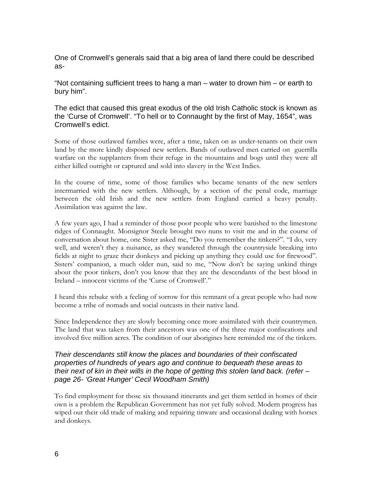One of Cromwell's generals said that a big area of land there could be described as-

"Not containing sufficient trees to hang a man – water to drown him – or earth to bury him".

The edict that caused this great exodus of the old Irish Catholic stock is known as the 'Curse of Cromwell'. "To hell or to Connaught by the first of May, 1654", was Cromwell's edict.

Some of those outlawed families were, after a time, taken on as under-tenants on their own land by the more kindly disposed new settlers. Bands of outlawed men carried on guerrilla warfare on the supplanters from their refuge in the mountains and bogs until they were all either killed outright or captured and sold into slavery in the West Indies.

In the course of time, some of those families who became tenants of the new settlers intermarried with the new settlers. Although, by a section of the penal code, marriage between the old Irish and the new settlers from England carried a heavy penalty. Assimilation was against the law.

A few years ago, I had a reminder of those poor people who were banished to the limestone ridges of Connaught. Monsignor Steele brought two nuns to visit me and in the course of conversation about home, one Sister asked me, "Do you remember the tinkers?". "I do, very well, and weren't they a nuisance, as they wandered through the countryside breaking into fields at night to graze their donkeys and picking up anything they could use for firewood". Sisters' companion, a much older nun, said to me, "Now don't be saying unkind things about the poor tinkers, don't you know that they are the descendants of the best blood in Ireland – innocent victims of the 'Curse of Cromwell'."

I heard this rebuke with a feeling of sorrow for this remnant of a great people who had now become a tribe of nomads and social outcasts in their native land.

Since Independence they are slowly becoming once more assimilated with their countrymen. The land that was taken from their ancestors was one of the three major confiscations and involved five million acres. The condition of our aborigines here reminded me of the tinkers.

#### *Their descendants still know the places and boundaries of their confiscated properties of hundreds of years ago and continue to bequeath these areas to their next of kin in their wills in the hope of getting this stolen land back. (refer – page 26- 'Great Hunger' Cecil Woodham Smith)*

To find employment for those six thousand itinerants and get them settled in homes of their own is a problem the Republican Government has not yet fully solved. Modern progress has wiped out their old trade of making and repairing tinware and occasional dealing with horses and donkeys.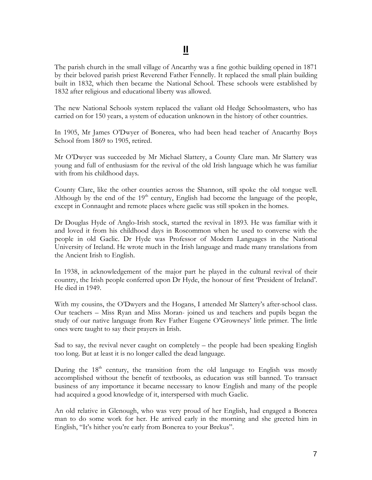The parish church in the small village of Ancarthy was a fine gothic building opened in 1871 by their beloved parish priest Reverend Father Fennelly. It replaced the small plain building built in 1832, which then became the National School. These schools were established by 1832 after religious and educational liberty was allowed.

The new National Schools system replaced the valiant old Hedge Schoolmasters, who has carried on for 150 years, a system of education unknown in the history of other countries.

In 1905, Mr James O'Dwyer of Bonerea, who had been head teacher of Anacarthy Boys School from 1869 to 1905, retired.

Mr O'Dwyer was succeeded by Mr Michael Slattery, a County Clare man. Mr Slattery was young and full of enthusiasm for the revival of the old Irish language which he was familiar with from his childhood days.

County Clare, like the other counties across the Shannon, still spoke the old tongue well. Although by the end of the  $19<sup>th</sup>$  century, English had become the language of the people, except in Connaught and remote places where gaelic was still spoken in the homes.

Dr Douglas Hyde of Anglo-Irish stock, started the revival in 1893. He was familiar with it and loved it from his childhood days in Roscommon when he used to converse with the people in old Gaelic. Dr Hyde was Professor of Modern Languages in the National University of Ireland. He wrote much in the Irish language and made many translations from the Ancient Irish to English.

In 1938, in acknowledgement of the major part he played in the cultural revival of their country, the Irish people conferred upon Dr Hyde, the honour of first 'President of Ireland'. He died in 1949.

With my cousins, the O'Dwyers and the Hogans, I attended Mr Slattery's after-school class. Our teachers – Miss Ryan and Miss Moran- joined us and teachers and pupils began the study of our native language from Rev Father Eugene O'Growneys' little primer. The little ones were taught to say their prayers in Irish.

Sad to say, the revival never caught on completely – the people had been speaking English too long. But at least it is no longer called the dead language.

During the  $18<sup>th</sup>$  century, the transition from the old language to English was mostly accomplished without the benefit of textbooks, as education was still banned. To transact business of any importance it became necessary to know English and many of the people had acquired a good knowledge of it, interspersed with much Gaelic.

An old relative in Glenough, who was very proud of her English, had engaged a Bonerea man to do some work for her. He arrived early in the morning and she greeted him in English, "It's hither you're early from Bonerea to your Brekus".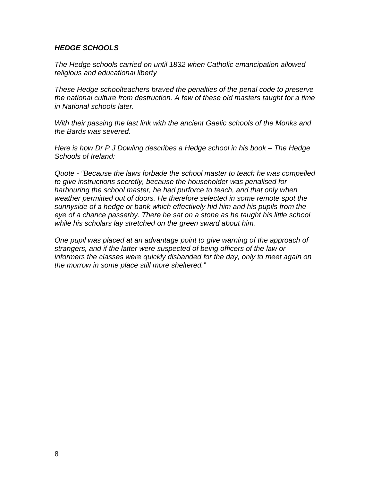#### *HEDGE SCHOOLS*

*The Hedge schools carried on until 1832 when Catholic emancipation allowed religious and educational liberty*

*These Hedge schoolteachers braved the penalties of the penal code to preserve the national culture from destruction. A few of these old masters taught for a time in National schools later.*

*With their passing the last link with the ancient Gaelic schools of the Monks and the Bards was severed.*

*Here is how Dr P J Dowling describes a Hedge school in his book – The Hedge Schools of Ireland:*

*Quote - "Because the laws forbade the school master to teach he was compelled to give instructions secretly, because the householder was penalised for harbouring the school master, he had purforce to teach, and that only when weather permitted out of doors. He therefore selected in some remote spot the sunnyside of a hedge or bank which effectively hid him and his pupils from the eye of a chance passerby. There he sat on a stone as he taught his little school while his scholars lay stretched on the green sward about him.*

*One pupil was placed at an advantage point to give warning of the approach of strangers, and if the latter were suspected of being officers of the law or informers the classes were quickly disbanded for the day, only to meet again on the morrow in some place still more sheltered."*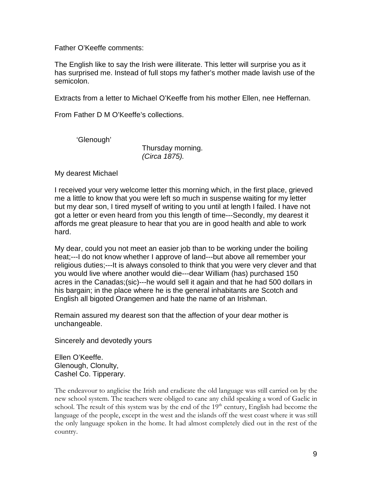Father O'Keeffe comments:

The English like to say the Irish were illiterate. This letter will surprise you as it has surprised me. Instead of full stops my father's mother made lavish use of the semicolon.

Extracts from a letter to Michael O'Keeffe from his mother Ellen, nee Heffernan.

From Father D M O'Keeffe's collections.

'Glenough'

Thursday morning. *(Circa 1875).*

My dearest Michael

I received your very welcome letter this morning which, in the first place, grieved me a little to know that you were left so much in suspense waiting for my letter but my dear son, I tired myself of writing to you until at length I failed. I have not got a letter or even heard from you this length of time---Secondly, my dearest it affords me great pleasure to hear that you are in good health and able to work hard.

My dear, could you not meet an easier job than to be working under the boiling heat;---I do not know whether I approve of land---but above all remember your religious duties;---It is always consoled to think that you were very clever and that you would live where another would die---dear William (has) purchased 150 acres in the Canadas;(sic)---he would sell it again and that he had 500 dollars in his bargain; in the place where he is the general inhabitants are Scotch and English all bigoted Orangemen and hate the name of an Irishman.

Remain assured my dearest son that the affection of your dear mother is unchangeable.

Sincerely and devotedly yours

Ellen O'Keeffe. Glenough, Clonulty, Cashel Co. Tipperary.

The endeavour to anglicise the Irish and eradicate the old language was still carried on by the new school system. The teachers were obliged to cane any child speaking a word of Gaelic in school. The result of this system was by the end of the  $19<sup>th</sup>$  century, English had become the language of the people, except in the west and the islands off the west coast where it was still the only language spoken in the home. It had almost completely died out in the rest of the country.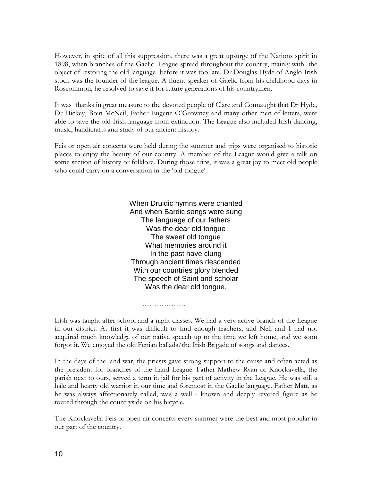However, in spite of all this suppression, there was a great upsurge of the Nations spirit in 1898, when branches of the Gaelic League spread throughout the country, mainly with the object of restoring the old language before it was too late. Dr Douglas Hyde of Anglo-Irish stock was the founder of the league. A fluent speaker of Gaelic from his childhood days in Roscommon, he resolved to save it for future generations of his countrymen.

It was thanks in great measure to the devoted people of Clare and Connaught that Dr Hyde, Dr Hickey, Boin McNeil, Father Eugene O'Growney and many other men of letters, were able to save the old Irish language from extinction. The League also included Irish dancing, music, handicrafts and study of our ancient history.

Feis or open air concerts were held during the summer and trips were organised to historic places to enjoy the beauty of our country. A member of the League would give a talk on some section of history or folklore. During those trips, it was a great joy to meet old people who could carry on a conversation in the 'old tongue'.

> When Druidic hymns were chanted And when Bardic songs were sung The language of our fathers Was the dear old tongue The sweet old tongue What memories around it In the past have clung Through ancient times descended With our countries glory blended The speech of Saint and scholar Was the dear old tongue.

Irish was taught after school and a night classes. We had a very active branch of the League in our district. At first it was difficult to find enough teachers, and Nell and I had not acquired much knowledge of our native speech up to the time we left home, and we soon forgot it. We enjoyed the old Fenian ballads/the Irish Brigade of songs and dances.

…………………

In the days of the land war, the priests gave strong support to the cause and often acted as the president for branches of the Land League. Father Mathew Ryan of Knockavella, the parish next to ours, served a term in jail for his part of activity in the League. He was still a hale and hearty old warrior in our time and foremost in the Gaelic language. Father Matt, as he was always affectionately called, was a well - known and deeply revered figure as he toured through the countryside on his bicycle.

The Knockavella Feis or open-air concerts every summer were the best and most popular in our part of the country.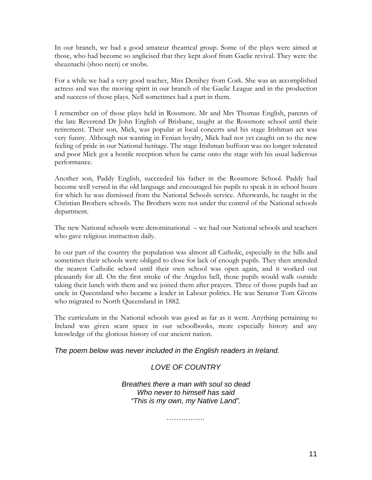In our branch, we had a good amateur theatrical group. Some of the plays were aimed at those, who had become so anglicised that they kept aloof from Gaelic revival. They were the sheaznachi (shoo neen) or snobs.

For a while we had a very good teacher, Miss Denihey from Cork. She was an accomplished actress and was the moving spirit in our branch of the Gaelic League and in the production and success of those plays. Nell sometimes had a part in them.

I remember on of those plays held in Rossmore. Mr and Mrs Thomas English, parents of the late Reverend Dr John English of Brisbane, taught at the Rossmore school until their retirement. Their son, Mick, was popular at local concerts and his stage Irishman act was very funny. Although not wanting in Fenian loyalty, Mick had not yet caught on to the new feeling of pride in our National heritage. The stage Irishman buffoon was no longer tolerated and poor Mick got a hostile reception when he came onto the stage with his usual ludicrous performance.

Another son, Paddy English, succeeded his father in the Rossmore School. Paddy had become well versed in the old language and encouraged his pupils to speak it in school hours for which he was dismissed from the National Schools service. Afterwards, he taught in the Christian Brothers schools. The Brothers were not under the control of the National schools department.

The new National schools were denominational – we had our National schools and teachers who gave religious instruction daily.

In our part of the country the population was almost all Catholic, especially in the hills and sometimes their schools were obliged to close for lack of enough pupils. They then attended the nearest Catholic school until their own school was open again, and it worked out pleasantly for all. On the first stroke of the Angelus bell, those pupils would walk outside taking their lunch with them and we joined them after prayers. Three of those pupils had an uncle in Queensland who became a leader in Labour politics. He was Senator Tom Givens who migrated to North Queensland in 1882.

The curriculum in the National schools was good as far as it went. Anything pertaining to Ireland was given scant space in our schoolbooks, more especially history and any knowledge of the glorious history of our ancient nation.

*The poem below was never included in the English readers in Ireland.*

## *LOVE OF COUNTRY*

*Breathes there a man with soul so dead Who never to himself has said "This is my own, my Native Land".*

*…………….*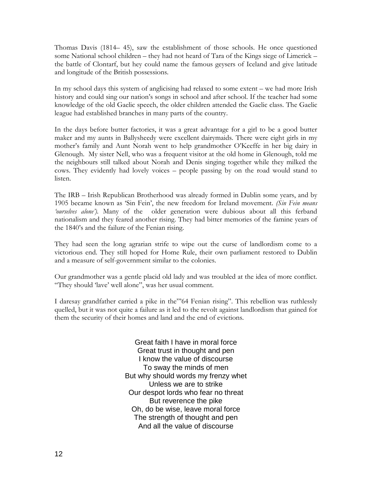Thomas Davis (1814– 45), saw the establishment of those schools. He once questioned some National school children – they had not heard of Tara of the Kings siege of Limerick – the battle of Clontarf, but hey could name the famous geysers of Iceland and give latitude and longitude of the British possessions.

In my school days this system of anglicising had relaxed to some extent – we had more Irish history and could sing our nation's songs in school and after school. If the teacher had some knowledge of the old Gaelic speech, the older children attended the Gaelic class. The Gaelic league had established branches in many parts of the country.

In the days before butter factories, it was a great advantage for a girl to be a good butter maker and my aunts in Ballysheedy were excellent dairymaids. There were eight girls in my mother's family and Aunt Norah went to help grandmother O'Keeffe in her big dairy in Glenough. My sister Nell, who was a frequent visitor at the old home in Glenough, told me the neighbours still talked about Norah and Denis singing together while they milked the cows. They evidently had lovely voices – people passing by on the road would stand to listen.

The IRB – Irish Republican Brotherhood was already formed in Dublin some years, and by 1905 became known as 'Sin Fein', the new freedom for Ireland movement. *(Sin Fein means 'ourselves alone').* Many of the older generation were dubious about all this ferband nationalism and they feared another rising. They had bitter memories of the famine years of the 1840's and the failure of the Fenian rising.

They had seen the long agrarian strife to wipe out the curse of landlordism come to a victorious end. They still hoped for Home Rule, their own parliament restored to Dublin and a measure of self-government similar to the colonies.

Our grandmother was a gentle placid old lady and was troubled at the idea of more conflict. "They should 'lave' well alone", was her usual comment.

I daresay grandfather carried a pike in the"'64 Fenian rising". This rebellion was ruthlessly quelled, but it was not quite a failure as it led to the revolt against landlordism that gained for them the security of their homes and land and the end of evictions.

> Great faith I have in moral force Great trust in thought and pen I know the value of discourse To sway the minds of men But why should words my frenzy whet Unless we are to strike Our despot lords who fear no threat But reverence the pike Oh, do be wise, leave moral force The strength of thought and pen And all the value of discourse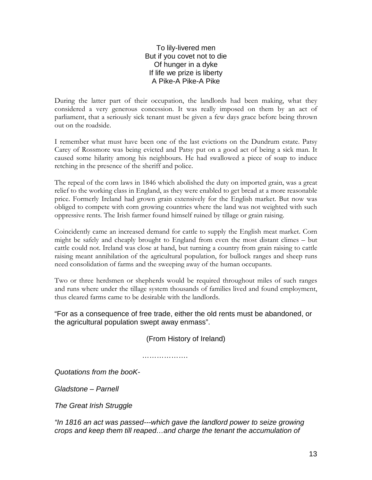#### To lily-livered men But if you covet not to die Of hunger in a dyke If life we prize is liberty A Pike-A Pike-A Pike

During the latter part of their occupation, the landlords had been making, what they considered a very generous concession. It was really imposed on them by an act of parliament, that a seriously sick tenant must be given a few days grace before being thrown out on the roadside.

I remember what must have been one of the last evictions on the Dundrum estate. Patsy Carey of Rossmore was being evicted and Patsy put on a good act of being a sick man. It caused some hilarity among his neighbours. He had swallowed a piece of soap to induce retching in the presence of the sheriff and police.

The repeal of the corn laws in 1846 which abolished the duty on imported grain, was a great relief to the working class in England, as they were enabled to get bread at a more reasonable price. Formerly Ireland had grown grain extensively for the English market. But now was obliged to compete with corn growing countries where the land was not weighted with such oppressive rents. The Irish farmer found himself ruined by tillage or grain raising.

Coincidently came an increased demand for cattle to supply the English meat market. Corn might be safely and cheaply brought to England from even the most distant climes – but cattle could not. Ireland was close at hand, but turning a country from grain raising to cattle raising meant annihilation of the agricultural population, for bullock ranges and sheep runs need consolidation of farms and the sweeping away of the human occupants.

Two or three herdsmen or shepherds would be required throughout miles of such ranges and runs where under the tillage system thousands of families lived and found employment, thus cleared farms came to be desirable with the landlords.

"For as a consequence of free trade, either the old rents must be abandoned, or the agricultural population swept away enmass".

(From History of Ireland)

……………….

*Quotations from the booK-*

*Gladstone – Parnell*

*The Great Irish Struggle*

*"In 1816 an act was passed---which gave the landlord power to seize growing crops and keep them till reaped…and charge the tenant the accumulation of*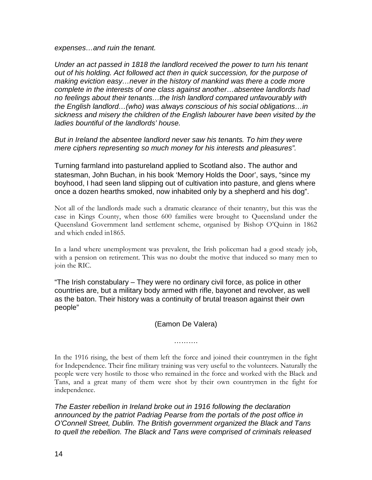*expenses…and ruin the tenant.*

*Under an act passed in 1818 the landlord received the power to turn his tenant out of his holding. Act followed act then in quick succession, for the purpose of making eviction easy…never in the history of mankind was there a code more complete in the interests of one class against another…absentee landlords had no feelings about their tenants…the Irish landlord compared unfavourably with the English landlord…(who) was always conscious of his social obligations…in sickness and misery the children of the English labourer have been visited by the ladies bountiful of the landlords' house.*

*But in Ireland the absentee landlord never saw his tenants. To him they were mere ciphers representing so much money for his interests and pleasures".*

Turning farmland into pastureland applied to Scotland also*.* The author and statesman, John Buchan, in his book 'Memory Holds the Door', says, "since my boyhood, I had seen land slipping out of cultivation into pasture, and glens where once a dozen hearths smoked, now inhabited only by a shepherd and his dog".

Not all of the landlords made such a dramatic clearance of their tenantry, but this was the case in Kings County, when those 600 families were brought to Queensland under the Queensland Government land settlement scheme, organised by Bishop O'Quinn in 1862 and which ended in1865.

In a land where unemployment was prevalent, the Irish policeman had a good steady job, with a pension on retirement. This was no doubt the motive that induced so many men to join the RIC.

"The Irish constabulary – They were no ordinary civil force, as police in other countries are, but a military body armed with rifle, bayonet and revolver, as well as the baton. Their history was a continuity of brutal treason against their own people"

(Eamon De Valera)

…………

In the 1916 rising, the best of them left the force and joined their countrymen in the fight for Independence. Their fine military training was very useful to the volunteers. Naturally the people were very hostile to those who remained in the force and worked with the Black and Tans, and a great many of them were shot by their own countrymen in the fight for independence.

*The Easter rebellion in Ireland broke out in 1916 following the declaration announced by the patriot Padriag Pearse from the portals of the post office in O'Connell Street, Dublin. The British government organized the Black and Tans to quell the rebellion. The Black and Tans were comprised of criminals released*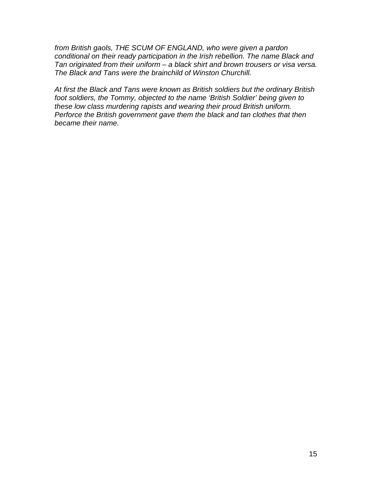*from British gaols, THE SCUM OF ENGLAND, who were given a pardon conditional on their ready participation in the Irish rebellion. The name Black and Tan originated from their uniform – a black shirt and brown trousers or visa versa. The Black and Tans were the brainchild of Winston Churchill.*

*At first the Black and Tans were known as British soldiers but the ordinary British foot soldiers, the Tommy, objected to the name 'British Soldier' being given to these low class murdering rapists and wearing their proud British uniform. Perforce the British government gave them the black and tan clothes that then became their name.*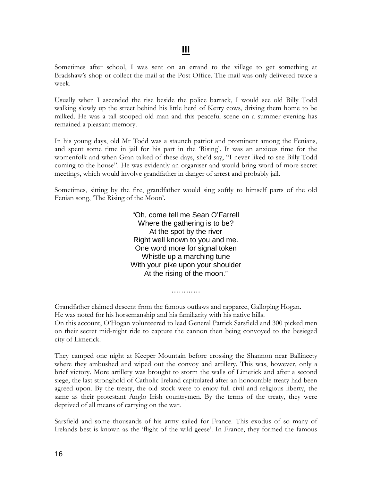Sometimes after school, I was sent on an errand to the village to get something at Bradshaw's shop or collect the mail at the Post Office. The mail was only delivered twice a week.

Usually when I ascended the rise beside the police barrack, I would see old Billy Todd walking slowly up the street behind his little herd of Kerry cows, driving them home to be milked. He was a tall stooped old man and this peaceful scene on a summer evening has remained a pleasant memory.

In his young days, old Mr Todd was a staunch patriot and prominent among the Fenians, and spent some time in jail for his part in the 'Rising'. It was an anxious time for the womenfolk and when Gran talked of these days, she'd say, "I never liked to see Billy Todd coming to the house". He was evidently an organiser and would bring word of more secret meetings, which would involve grandfather in danger of arrest and probably jail.

Sometimes, sitting by the fire, grandfather would sing softly to himself parts of the old Fenian song, 'The Rising of the Moon'.

> "Oh, come tell me Sean O'Farrell Where the gathering is to be? At the spot by the river Right well known to you and me. One word more for signal token Whistle up a marching tune With your pike upon your shoulder At the rising of the moon."

Grandfather claimed descent from the famous outlaws and rapparee, Galloping Hogan. He was noted for his horsemanship and his familiarity with his native hills. On this account, O'Hogan volunteered to lead General Patrick Sarsfield and 300 picked men on their secret mid-night ride to capture the cannon then being convoyed to the besieged city of Limerick.

…………

They camped one night at Keeper Mountain before crossing the Shannon near Ballineety where they ambushed and wiped out the convoy and artillery. This was, however, only a brief victory. More artillery was brought to storm the walls of Limerick and after a second siege, the last stronghold of Catholic Ireland capitulated after an honourable treaty had been agreed upon. By the treaty, the old stock were to enjoy full civil and religious liberty, the same as their protestant Anglo Irish countrymen. By the terms of the treaty, they were deprived of all means of carrying on the war.

Sarsfield and some thousands of his army sailed for France. This exodus of so many of Irelands best is known as the 'flight of the wild geese'. In France, they formed the famous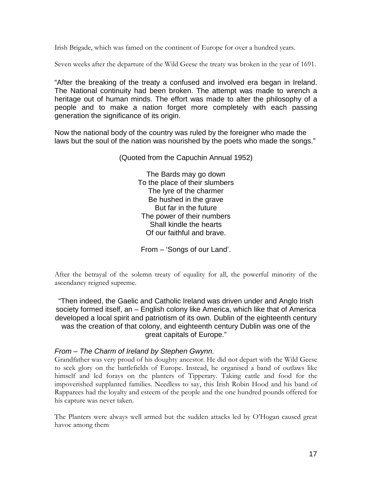Irish Brigade, which was famed on the continent of Europe for over a hundred years.

Seven weeks after the departure of the Wild Geese the treaty was broken in the year of 1691.

"After the breaking of the treaty a confused and involved era began in Ireland. The National continuity had been broken. The attempt was made to wrench a heritage out of human minds. The effort was made to alter the philosophy of a people and to make a nation forget more completely with each passing generation the significance of its origin.

Now the national body of the country was ruled by the foreigner who made the laws but the soul of the nation was nourished by the poets who made the songs."

(Quoted from the Capuchin Annual 1952)

The Bards may go down To the place of their slumbers The lyre of the charmer Be hushed in the grave But far in the future The power of their numbers Shall kindle the hearts Of our faithful and brave.

From – 'Songs of our Land'.

After the betrayal of the solemn treaty of equality for all, the powerful minority of the ascendancy reigned supreme.

"Then indeed, the Gaelic and Catholic Ireland was driven under and Anglo Irish society formed itself, an – English colony like America, which like that of America developed a local spirit and patriotism of its own. Dublin of the eighteenth century was the creation of that colony, and eighteenth century Dublin was one of the great capitals of Europe."

#### *From – The Charm of Ireland by Stephen Gwynn.*

Grandfather was very proud of his doughty ancestor. He did not depart with the Wild Geese to seek glory on the battlefields of Europe. Instead, he organised a band of outlaws like himself and led forays on the planters of Tipperary. Taking cattle and food for the impoverished supplanted families. Needless to say, this Irish Robin Hood and his band of Rapparees had the loyalty and esteem of the people and the one hundred pounds offered for his capture was never taken.

The Planters were always well armed but the sudden attacks led by O'Hogan caused great havoc among them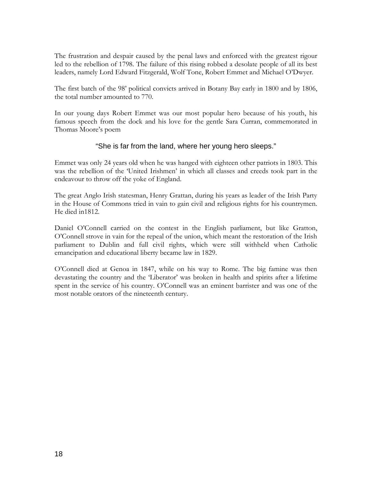The frustration and despair caused by the penal laws and enforced with the greatest rigour led to the rebellion of 1798. The failure of this rising robbed a desolate people of all its best leaders, namely Lord Edward Fitzgerald, Wolf Tone, Robert Emmet and Michael O'Dwyer.

The first batch of the 98' political convicts arrived in Botany Bay early in 1800 and by 1806, the total number amounted to 770.

In our young days Robert Emmet was our most popular hero because of his youth, his famous speech from the dock and his love for the gentle Sara Curran, commemorated in Thomas Moore's poem

#### "She is far from the land, where her young hero sleeps."

Emmet was only 24 years old when he was hanged with eighteen other patriots in 1803. This was the rebellion of the 'United Irishmen' in which all classes and creeds took part in the endeavour to throw off the yoke of England.

The great Anglo Irish statesman, Henry Grattan, during his years as leader of the Irish Party in the House of Commons tried in vain to gain civil and religious rights for his countrymen. He died in1812.

Daniel O'Connell carried on the contest in the English parliament, but like Gratton, O'Connell strove in vain for the repeal of the union, which meant the restoration of the Irish parliament to Dublin and full civil rights, which were still withheld when Catholic emancipation and educational liberty became law in 1829.

O'Connell died at Genoa in 1847, while on his way to Rome. The big famine was then devastating the country and the 'Liberator' was broken in health and spirits after a lifetime spent in the service of his country. O'Connell was an eminent barrister and was one of the most notable orators of the nineteenth century.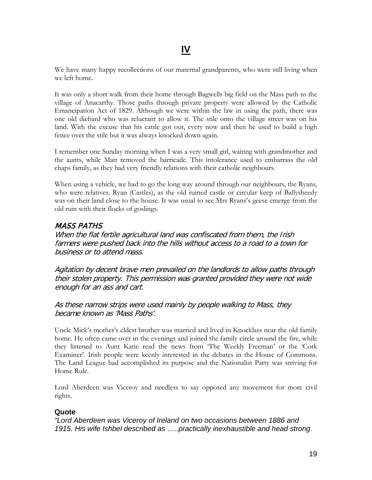We have many happy recollections of our maternal grandparents, who were still living when we left home.

It was only a short walk from their home through Bagwells big field on the Mass path to the village of Anacarthy. Those paths through private property were allowed by the Catholic Emancipation Act of 1829. Although we were within the law in using the path, there was one old diehard who was reluctant to allow it. The stile onto the village street was on his land. With the excuse that his cattle got out, every now and then he used to build a high fence over the stile but it was always knocked down again.

I remember one Sunday morning when I was a very small girl, waiting with grandmother and the aunts, while Matt removed the barricade. This intolerance used to embarrass the old chaps family, as they had very friendly relations with their catholic neighbours.

When using a vehicle, we had to go the long way around through our neighbours, the Ryans, who were relatives. Ryan (Castles), as the old ruined castle or circular keep of Ballysheedy was on their land close to the house. It was usual to see Mrs Ryans's geese emerge from the old ruin with their flocks of goslings.

### MASS PATHS

When the flat fertile agricultural land was confiscated from them, the Irish farmers were pushed back into the hills without access to a road to a town for business or to attend mass.

Agitation by decent brave men prevailed on the landlords to allow paths through their stolen property. This permission was granted provided they were not wide enough for an ass and cart.

### As these narrow strips were used mainly by people walking to Mass, they became known as 'Mass Paths'.

Uncle Mick's mother's eldest brother was married and lived in Knocklass near the old family home. He often came over in the evenings and joined the family circle around the fire, while they listened to Aunt Katie read the news from 'The Weekly Freeman' or the 'Cork Examiner'. Irish people were keenly interested in the debates in the House of Commons. The Land League had accomplished its purpose and the Nationalist Party was striving for Home Rule.

Lord Aberdeen was Viceroy and needless to say opposed any movement for more civil rights.

#### **Quote**

*"Lord Aberdeen was Viceroy of Ireland on two occasions between 1886 and 1915. His wife Ishbel described as …..practically inexhaustible and head strong.*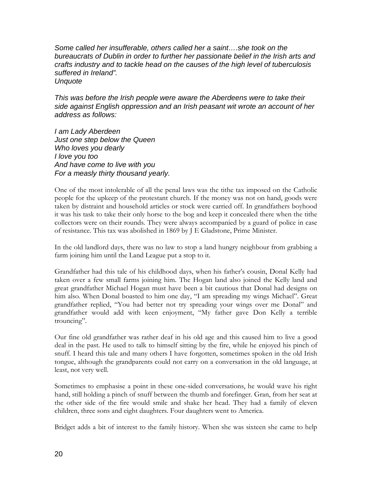*Some called her insufferable, others called her a saint….she took on the bureaucrats of Dublin in order to further her passionate belief in the Irish arts and crafts industry and to tackle head on the causes of the high level of tuberculosis suffered in Ireland". Unquote*

*This was before the Irish people were aware the Aberdeens were to take their side against English oppression and an Irish peasant wit wrote an account of her address as follows:*

*I am Lady Aberdeen Just one step below the Queen Who loves you dearly I love you too And have come to live with you For a measly thirty thousand yearly.*

One of the most intolerable of all the penal laws was the tithe tax imposed on the Catholic people for the upkeep of the protestant church. If the money was not on hand, goods were taken by distraint and household articles or stock were carried off. In grandfathers boyhood it was his task to take their only horse to the bog and keep it concealed there when the tithe collectors were on their rounds. They were always accompanied by a guard of police in case of resistance. This tax was abolished in 1869 by J E Gladstone, Prime Minister.

In the old landlord days, there was no law to stop a land hungry neighbour from grabbing a farm joining him until the Land League put a stop to it.

Grandfather had this tale of his childhood days, when his father's cousin, Donal Kelly had taken over a few small farms joining him. The Hogan land also joined the Kelly land and great grandfather Michael Hogan must have been a bit cautious that Donal had designs on him also. When Donal boasted to him one day, "I am spreading my wings Michael". Great grandfather replied, "You had better not try spreading your wings over me Donal" and grandfather would add with keen enjoyment, "My father gave Don Kelly a terrible trouncing".

Our fine old grandfather was rather deaf in his old age and this caused him to live a good deal in the past. He used to talk to himself sitting by the fire, while he enjoyed his pinch of snuff. I heard this tale and many others I have forgotten, sometimes spoken in the old Irish tongue, although the grandparents could not carry on a conversation in the old language, at least, not very well.

Sometimes to emphasise a point in these one-sided conversations, he would wave his right hand, still holding a pinch of snuff between the thumb and forefinger. Gran, from her seat at the other side of the fire would smile and shake her head. They had a family of eleven children, three sons and eight daughters. Four daughters went to America.

Bridget adds a bit of interest to the family history. When she was sixteen she came to help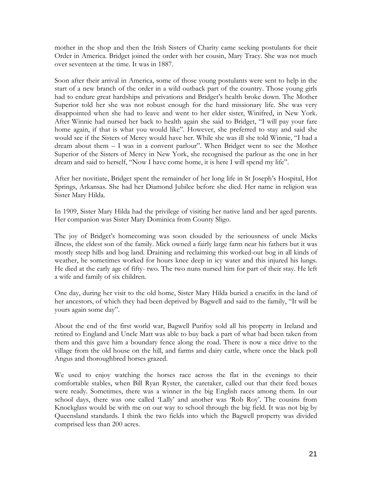mother in the shop and then the Irish Sisters of Charity came seeking postulants for their Order in America. Bridget joined the order with her cousin, Mary Tracy. She was not much over seventeen at the time. It was in 1887.

Soon after their arrival in America, some of those young postulants were sent to help in the start of a new branch of the order in a wild outback part of the country. Those young girls had to endure great hardships and privations and Bridget's health broke down. The Mother Superior told her she was not robust enough for the hard missionary life. She was very disappointed when she had to leave and went to her elder sister, Winifred, in New York. After Winnie had nursed her back to health again she said to Bridget, "I will pay your fare home again, if that is what you would like". However, she preferred to stay and said she would see if the Sisters of Mercy would have her. While she was ill she told Winnie, "I had a dream about them – I was in a convent parlour". When Bridget went to see the Mother Superior of the Sisters of Mercy in New York, she recognised the parlour as the one in her dream and said to herself, "Now I have come home, it is here I will spend my life".

After her novitiate, Bridget spent the remainder of her long life in St Joseph's Hospital, Hot Springs, Arkansas. She had her Diamond Jubilee before she died. Her name in religion was Sister Mary Hilda.

In 1909, Sister Mary Hilda had the privilege of visiting her native land and her aged parents. Her companion was Sister Mary Dominica from County Sligo.

The joy of Bridget's homecoming was soon clouded by the seriousness of uncle Micks illness, the eldest son of the family. Mick owned a fairly large farm near his fathers but it was mostly steep hills and bog land. Draining and reclaiming this worked-out bog in all kinds of weather, he sometimes worked for hours knee deep in icy water and this injured his lungs. He died at the early age of fifty- two. The two nuns nursed him for part of their stay. He left a wife and family of six children.

One day, during her visit to the old home, Sister Mary Hilda buried a crucifix in the land of her ancestors, of which they had been deprived by Bagwell and said to the family, "It will be yours again some day".

About the end of the first world war, Bagwell Purifoy sold all his property in Ireland and retired to England and Uncle Matt was able to buy back a part of what had been taken from them and this gave him a boundary fence along the road. There is now a nice drive to the village from the old house on the hill, and farms and dairy cattle, where once the black poll Angus and thoroughbred horses grazed.

We used to enjoy watching the horses race across the flat in the evenings to their comfortable stables, when Bill Ryan Ryster, the caretaker, called out that their feed boxes were ready. Sometimes, there was a winner in the big English races among them. In our school days, there was one called 'Lally' and another was 'Rob Roy'. The cousins from Knockglass would be with me on our way to school through the big field. It was not big by Queensland standards. I think the two fields into which the Bagwell property was divided comprised less than 200 acres.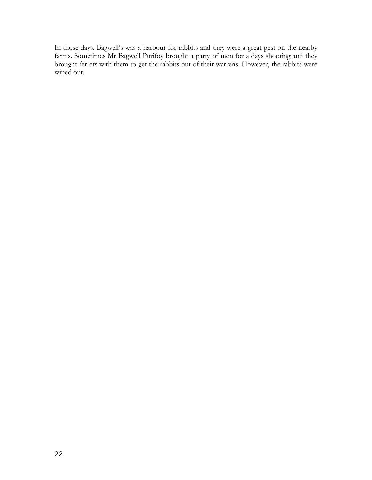In those days, Bagwell's was a harbour for rabbits and they were a great pest on the nearby farms. Sometimes Mr Bagwell Purifoy brought a party of men for a days shooting and they brought ferrets with them to get the rabbits out of their warrens. However, the rabbits were wiped out.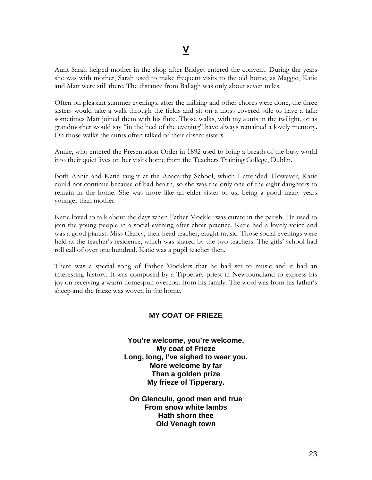Aunt Sarah helped mother in the shop after Bridget entered the convent. During the years she was with mother, Sarah used to make frequent visits to the old home, as Maggie, Katie and Matt were still there. The distance from Ballagh was only about seven miles.

Often on pleasant summer evenings, after the milking and other chores were done, the three sisters would take a walk through the fields and sit on a moss covered stile to have a talk: sometimes Matt joined them with his flute. Those walks, with my aunts in the twilight, or as grandmother would say "in the heel of the evening" have always remained a lovely memory. On those walks the aunts often talked of their absent sisters.

Annie, who entered the Presentation Order in 1892 used to bring a breath of the busy world into their quiet lives on her visits home from the Teachers Training College, Dublin.

Both Annie and Katie taught at the Anacarthy School, which I attended. However, Katie could not continue because of bad health, so she was the only one of the eight daughters to remain in the home. She was more like an elder sister to us, being a good many years younger than mother.

Katie loved to talk about the days when Father Mockler was curate in the parish. He used to join the young people in a social evening after choir practice. Katie had a lovely voice and was a good pianist. Miss Clancy, their head teacher, taught music. Those social evenings were held at the teacher's residence, which was shared by the two teachers. The girls' school had roll call of over one hundred. Katie was a pupil teacher then.

There was a special song of Father Mocklers that he had set to music and it had an interesting history. It was composed by a Tipperary priest in Newfoundland to express his joy on receiving a warm homespun overcoat from his family. The wool was from his father's sheep and the frieze was woven in the home.

#### **MY COAT OF FRIEZE**

**You're welcome, you're welcome, My coat of Frieze Long, long, I've sighed to wear you. More welcome by far Than a golden prize My frieze of Tipperary.**

**On Glenculu, good men and true From snow white lambs Hath shorn thee Old Venagh town**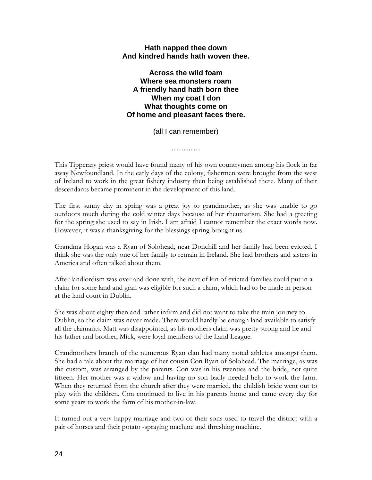#### **Hath napped thee down And kindred hands hath woven thee.**

**Across the wild foam Where sea monsters roam A friendly hand hath born thee When my coat I don What thoughts come on Of home and pleasant faces there.**

(all I can remember)

…………

This Tipperary priest would have found many of his own countrymen among his flock in far away Newfoundland. In the early days of the colony, fishermen were brought from the west of Ireland to work in the great fishery industry then being established there. Many of their descendants became prominent in the development of this land.

The first sunny day in spring was a great joy to grandmother, as she was unable to go outdoors much during the cold winter days because of her rheumatism. She had a greeting for the spring she used to say in Irish. I am afraid I cannot remember the exact words now. However, it was a thanksgiving for the blessings spring brought us.

Grandma Hogan was a Ryan of Solohead, near Donchill and her family had been evicted. I think she was the only one of her family to remain in Ireland. She had brothers and sisters in America and often talked about them.

After landlordism was over and done with, the next of kin of evicted families could put in a claim for some land and gran was eligible for such a claim, which had to be made in person at the land court in Dublin.

She was about eighty then and rather infirm and did not want to take the train journey to Dublin, so the claim was never made. There would hardly be enough land available to satisfy all the claimants. Matt was disappointed, as his mothers claim was pretty strong and he and his father and brother, Mick, were loyal members of the Land League.

Grandmothers branch of the numerous Ryan clan had many noted athletes amongst them. She had a tale about the marriage of her cousin Con Ryan of Solohead. The marriage, as was the custom, was arranged by the parents. Con was in his twenties and the bride, not quite fifteen. Her mother was a widow and having no son badly needed help to work the farm. When they returned from the church after they were married, the childish bride went out to play with the children. Con continued to live in his parents home and came every day for some years to work the farm of his mother-in-law.

It turned out a very happy marriage and two of their sons used to travel the district with a pair of horses and their potato -spraying machine and threshing machine.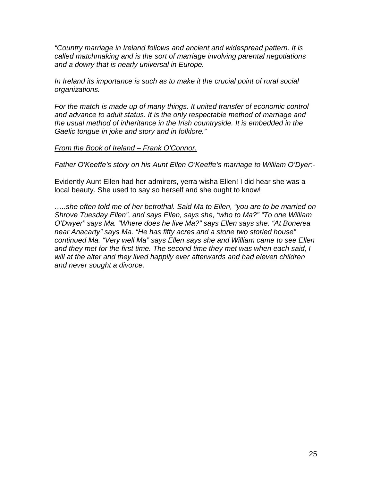*"Country marriage in Ireland follows and ancient and widespread pattern. It is called matchmaking and is the sort of marriage involving parental negotiations and a dowry that is nearly universal in Europe.*

*In Ireland its importance is such as to make it the crucial point of rural social organizations.*

*For the match is made up of many things. It united transfer of economic control and advance to adult status. It is the only respectable method of marriage and the usual method of inheritance in the Irish countryside. It is embedded in the Gaelic tongue in joke and story and in folklore."*

#### *From the Book of Ireland – Frank O'Connor.*

*Father O'Keeffe's story on his Aunt Ellen O'Keeffe's marriage to William O'Dyer:-*

Evidently Aunt Ellen had her admirers, yerra wisha Ellen! I did hear she was a local beauty. She used to say so herself and she ought to know!

*…..she often told me of her betrothal. Said Ma to Ellen, "you are to be married on Shrove Tuesday Ellen", and says Ellen, says she, "who to Ma?" "To one William O'Dwyer" says Ma. "Where does he live Ma?" says Ellen says she. "At Bonerea near Anacarty" says Ma. "He has fifty acres and a stone two storied house" continued Ma. "Very well Ma" says Ellen says she and William came to see Ellen and they met for the first time. The second time they met was when each said, I will at the alter and they lived happily ever afterwards and had eleven children and never sought a divorce.*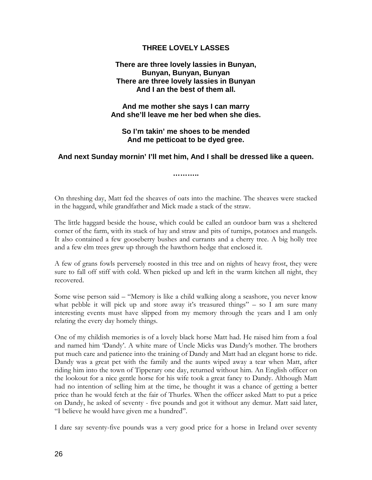#### **THREE LOVELY LASSES**

#### **There are three lovely lassies in Bunyan, Bunyan, Bunyan, Bunyan There are three lovely lassies in Bunyan And I an the best of them all.**

**And me mother she says I can marry And she'll leave me her bed when she dies.**

**So I'm takin' me shoes to be mended And me petticoat to be dyed gree.**

#### **And next Sunday mornin' I'll met him, And I shall be dressed like a queen.**

**………..**

On threshing day, Matt fed the sheaves of oats into the machine. The sheaves were stacked in the haggard, while grandfather and Mick made a stack of the straw.

The little haggard beside the house, which could be called an outdoor barn was a sheltered corner of the farm, with its stack of hay and straw and pits of turnips, potatoes and mangels. It also contained a few gooseberry bushes and currants and a cherry tree. A big holly tree and a few elm trees grew up through the hawthorn hedge that enclosed it.

A few of grans fowls perversely roosted in this tree and on nights of heavy frost, they were sure to fall off stiff with cold. When picked up and left in the warm kitchen all night, they recovered.

Some wise person said – "Memory is like a child walking along a seashore, you never know what pebble it will pick up and store away it's treasured things" – so I am sure many interesting events must have slipped from my memory through the years and I am only relating the every day homely things.

One of my childish memories is of a lovely black horse Matt had. He raised him from a foal and named him 'Dandy'. A white mare of Uncle Micks was Dandy's mother. The brothers put much care and patience into the training of Dandy and Matt had an elegant horse to ride. Dandy was a great pet with the family and the aunts wiped away a tear when Matt, after riding him into the town of Tipperary one day, returned without him. An English officer on the lookout for a nice gentle horse for his wife took a great fancy to Dandy. Although Matt had no intention of selling him at the time, he thought it was a chance of getting a better price than he would fetch at the fair of Thurles. When the officer asked Matt to put a price on Dandy, he asked of seventy - five pounds and got it without any demur. Matt said later, "I believe he would have given me a hundred".

I dare say seventy-five pounds was a very good price for a horse in Ireland over seventy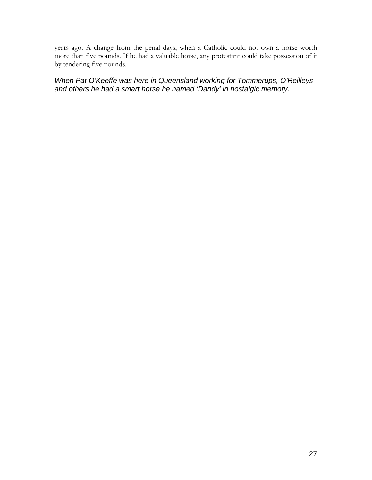years ago. A change from the penal days, when a Catholic could not own a horse worth more than five pounds. If he had a valuable horse, any protestant could take possession of it by tendering five pounds.

*When Pat O'Keeffe was here in Queensland working for Tommerups, O'Reilleys and others he had a smart horse he named 'Dandy' in nostalgic memory.*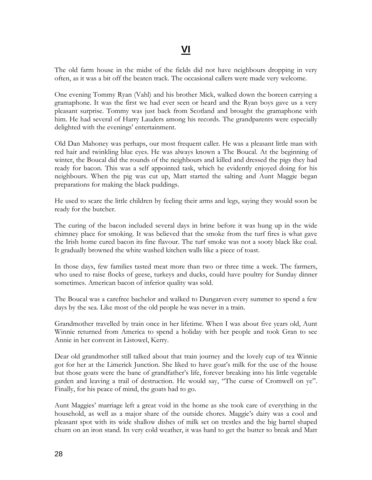The old farm house in the midst of the fields did not have neighbours dropping in very often, as it was a bit off the beaten track. The occasional callers were made very welcome.

One evening Tommy Ryan (Vahl) and his brother Mick, walked down the boreen carrying a gramaphone. It was the first we had ever seen or heard and the Ryan boys gave us a very pleasant surprise. Tommy was just back from Scotland and brought the gramaphone with him. He had several of Harry Lauders among his records. The grandparents were especially delighted with the evenings' entertainment.

Old Dan Mahoney was perhaps, our most frequent caller. He was a pleasant little man with red hair and twinkling blue eyes. He was always known a The Boucal. At the beginning of winter, the Boucal did the rounds of the neighbours and killed and dressed the pigs they had ready for bacon. This was a self appointed task, which he evidently enjoyed doing for his neighbours. When the pig was cut up, Matt started the salting and Aunt Maggie began preparations for making the black puddings.

He used to scare the little children by feeling their arms and legs, saying they would soon be ready for the butcher.

The curing of the bacon included several days in brine before it was hung up in the wide chimney place for smoking. It was believed that the smoke from the turf fires is what gave the Irish home cured bacon its fine flavour. The turf smoke was not a sooty black like coal. It gradually browned the white washed kitchen walls like a piece of toast.

In those days, few families tasted meat more than two or three time a week. The farmers, who used to raise flocks of geese, turkeys and ducks, could have poultry for Sunday dinner sometimes. American bacon of inferior quality was sold.

The Boucal was a carefree bachelor and walked to Dungarven every summer to spend a few days by the sea. Like most of the old people he was never in a train.

Grandmother travelled by train once in her lifetime. When I was about five years old, Aunt Winnie returned from America to spend a holiday with her people and took Gran to see Annie in her convent in Listowel, Kerry.

Dear old grandmother still talked about that train journey and the lovely cup of tea Winnie got for her at the Limerick Junction. She liked to have goat's milk for the use of the house but those goats were the bane of grandfather's life, forever breaking into his little vegetable garden and leaving a trail of destruction. He would say, "The curse of Cromwell on ye". Finally, for his peace of mind, the goats had to go.

Aunt Maggies' marriage left a great void in the home as she took care of everything in the household, as well as a major share of the outside chores. Maggie's dairy was a cool and pleasant spot with its wide shallow dishes of milk set on trestles and the big barrel shaped churn on an iron stand. In very cold weather, it was hard to get the butter to break and Matt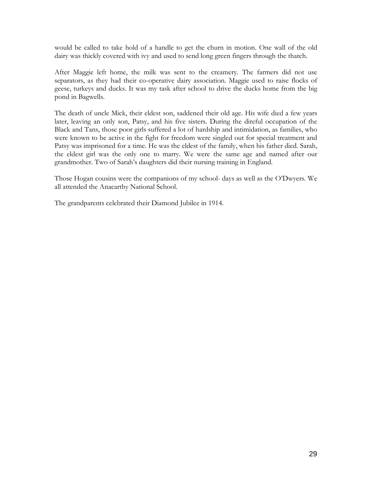would be called to take hold of a handle to get the churn in motion. One wall of the old dairy was thickly covered with ivy and used to send long green fingers through the thatch.

After Maggie left home, the milk was sent to the creamery. The farmers did not use separators, as they had their co-operative dairy association. Maggie used to raise flocks of geese, turkeys and ducks. It was my task after school to drive the ducks home from the big pond in Bagwells.

The death of uncle Mick, their eldest son, saddened their old age. His wife died a few years later, leaving an only son, Patsy, and his five sisters. During the direful occupation of the Black and Tans, those poor girls suffered a lot of hardship and intimidation, as families, who were known to be active in the fight for freedom were singled out for special treatment and Patsy was imprisoned for a time. He was the eldest of the family, when his father died. Sarah, the eldest girl was the only one to marry. We were the same age and named after our grandmother. Two of Sarah's daughters did their nursing training in England.

Those Hogan cousins were the companions of my school- days as well as the O'Dwyers. We all attended the Anacarthy National School.

The grandparents celebrated their Diamond Jubilee in 1914.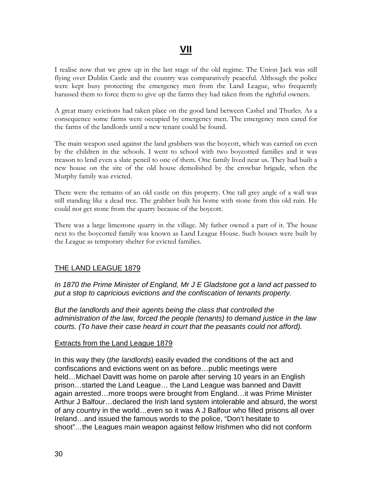I realise now that we grew up in the last stage of the old regime. The Union Jack was still flying over Dublin Castle and the country was comparatively peaceful. Although the police were kept busy protecting the emergency men from the Land League, who frequently harassed them to force them to give up the farms they had taken from the rightful owners.

A great many evictions had taken place on the good land between Cashel and Thurles. As a consequence some farms were occupied by emergency men. The emergency men cared for the farms of the landlords until a new tenant could be found.

The main weapon used against the land grabbers was the boycott, which was carried on even by the children in the schools. I went to school with two boycotted families and it was treason to lend even a slate pencil to one of them. One family lived near us. They had built a new house on the site of the old house demolished by the crowbar brigade, when the Murphy family was evicted.

There were the remains of an old castle on this property. One tall grey angle of a wall was still standing like a dead tree. The grabber built his home with stone from this old ruin. He could not get stone from the quarry because of the boycott.

There was a large limestone quarry in the village. My father owned a part of it. The house next to the boycotted family was known as Land League House. Such houses were built by the League as temporary shelter for evicted families.

#### THE LAND LEAGUE 1879

*In 1870 the Prime Minister of England, Mr J E Gladstone got a land act passed to put a stop to capricious evictions and the confiscation of tenants property.*

*But the landlords and their agents being the class that controlled the administration of the law, forced the people (tenants) to demand justice in the law courts. (To have their case heard in court that the peasants could not afford).*

#### Extracts from the Land League 1879

In this way they (*the landlords*) easily evaded the conditions of the act and confiscations and evictions went on as before…public meetings were held…Michael Davitt was home on parole after serving 10 years in an English prison…started the Land League… the Land League was banned and Davitt again arrested…more troops were brought from England…it was Prime Minister Arthur J Balfour…declared the Irish land system intolerable and absurd, the worst of any country in the world…even so it was A J Balfour who filled prisons all over Ireland…and issued the famous words to the police, "Don't hesitate to shoot"…the Leagues main weapon against fellow Irishmen who did not conform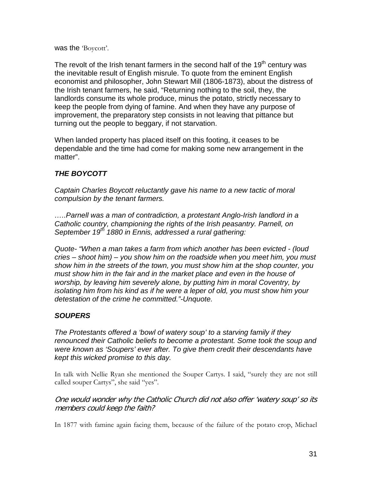was the 'Boycott'.

The revolt of the Irish tenant farmers in the second half of the 19<sup>th</sup> century was the inevitable result of English misrule. To quote from the eminent English economist and philosopher, John Stewart Mill (1806-1873), about the distress of the Irish tenant farmers, he said, "Returning nothing to the soil, they, the landlords consume its whole produce, minus the potato, strictly necessary to keep the people from dying of famine. And when they have any purpose of improvement, the preparatory step consists in not leaving that pittance but turning out the people to beggary, if not starvation.

When landed property has placed itself on this footing, it ceases to be dependable and the time had come for making some new arrangement in the matter".

## *THE BOYCOTT*

*Captain Charles Boycott reluctantly gave his name to a new tactic of moral compulsion by the tenant farmers.*

*…..Parnell was a man of contradiction, a protestant Anglo-Irish landlord in a Catholic country, championing the rights of the Irish peasantry. Parnell, on September 19th 1880 in Ennis, addressed a rural gathering:*

*Quote- "When a man takes a farm from which another has been evicted - (loud cries – shoot him) – you show him on the roadside when you meet him, you must show him in the streets of the town, you must show him at the shop counter, you must show him in the fair and in the market place and even in the house of worship, by leaving him severely alone, by putting him in moral Coventry, by isolating him from his kind as if he were a leper of old, you must show him your detestation of the crime he committed."-Unquote.*

### *SOUPERS*

*The Protestants offered a 'bowl of watery soup' to a starving family if they renounced their Catholic beliefs to become a protestant. Some took the soup and were known as 'Soupers' ever after. To give them credit their descendants have kept this wicked promise to this day.*

In talk with Nellie Ryan she mentioned the Souper Cartys. I said, "surely they are not still called souper Cartys", she said "yes".

One would wonder why the Catholic Church did not also offer 'watery soup' so its members could keep the faith?

In 1877 with famine again facing them, because of the failure of the potato crop, Michael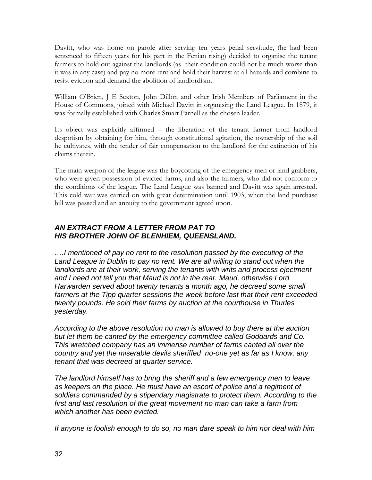Davitt, who was home on parole after serving ten years penal servitude, (he had been sentenced to fifteen years for his part in the Fenian rising) decided to organise the tenant farmers to hold out against the landlords (as their condition could not be much worse than it was in any case) and pay no more rent and hold their harvest at all hazards and combine to resist eviction and demand the abolition of landlordism.

William O'Brien, J E Sexton, John Dillon and other Irish Members of Parliament in the House of Commons, joined with Michael Davitt in organising the Land League. In 1879, it was formally established with Charles Stuart Parnell as the chosen leader.

Its object was explicitly affirmed – the liberation of the tenant farmer from landlord despotism by obtaining for him, through constitutional agitation, the ownership of the soil he cultivates, with the tender of fair compensation to the landlord for the extinction of his claims therein.

The main weapon of the league was the boycotting of the emergency men or land grabbers, who were given possession of evicted farms, and also the farmers, who did not conform to the conditions of the league. The Land League was banned and Davitt was again arrested. This cold war was carried on with great determination until 1903, when the land purchase bill was passed and an annuity to the government agreed upon.

### *AN EXTRACT FROM A LETTER FROM PAT TO HIS BROTHER JOHN OF BLENHIEM, QUEENSLAND.*

*….I mentioned of pay no rent to the resolution passed by the executing of the*  Land League in Dublin to pay no rent. We are all willing to stand out when the landlords are at their work, serving the tenants with writs and process ejectment *and I need not tell you that Maud is not in the rear. Maud, otherwise Lord Harwarden served about twenty tenants a month ago, he decreed some small farmers at the Tipp quarter sessions the week before last that their rent exceeded twenty pounds. He sold their farms by auction at the courthouse in Thurles yesterday.*

*According to the above resolution no man is allowed to buy there at the auction but let them be canted by the emergency committee called Goddards and Co. This wretched company has an immense number of farms canted all over the country and yet the miserable devils sheriffed no-one yet as far as I know, any tenant that was decreed at quarter service.*

*The landlord himself has to bring the sheriff and a few emergency men to leave as keepers on the place. He must have an escort of police and a regiment of soldiers commanded by a stipendary magistrate to protect them. According to the first and last resolution of the great movement no man can take a farm from which another has been evicted.*

*If anyone is foolish enough to do so, no man dare speak to him nor deal with him*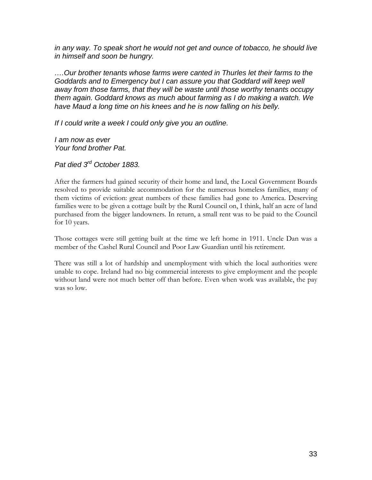*in any way. To speak short he would not get and ounce of tobacco, he should live in himself and soon be hungry.*

*….Our brother tenants whose farms were canted in Thurles let their farms to the Goddards and to Emergency but I can assure you that Goddard will keep well away from those farms, that they will be waste until those worthy tenants occupy them again. Goddard knows as much about farming as I do making a watch. We have Maud a long time on his knees and he is now falling on his belly.*

*If I could write a week I could only give you an outline.*

*I am now as ever Your fond brother Pat.*

*Pat died 3rd October 1883.*

After the farmers had gained security of their home and land, the Local Government Boards resolved to provide suitable accommodation for the numerous homeless families, many of them victims of eviction: great numbers of these families had gone to America. Deserving families were to be given a cottage built by the Rural Council on, I think, half an acre of land purchased from the bigger landowners. In return, a small rent was to be paid to the Council for 10 years.

Those cottages were still getting built at the time we left home in 1911. Uncle Dan was a member of the Cashel Rural Council and Poor Law Guardian until his retirement.

There was still a lot of hardship and unemployment with which the local authorities were unable to cope. Ireland had no big commercial interests to give employment and the people without land were not much better off than before. Even when work was available, the pay was so low.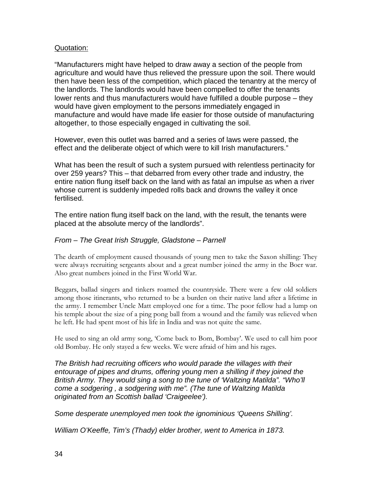#### Quotation:

"Manufacturers might have helped to draw away a section of the people from agriculture and would have thus relieved the pressure upon the soil. There would then have been less of the competition, which placed the tenantry at the mercy of the landlords. The landlords would have been compelled to offer the tenants lower rents and thus manufacturers would have fulfilled a double purpose – they would have given employment to the persons immediately engaged in manufacture and would have made life easier for those outside of manufacturing altogether, to those especially engaged in cultivating the soil.

However, even this outlet was barred and a series of laws were passed, the effect and the deliberate object of which were to kill Irish manufacturers."

What has been the result of such a system pursued with relentless pertinacity for over 259 years? This – that debarred from every other trade and industry, the entire nation flung itself back on the land with as fatal an impulse as when a river whose current is suddenly impeded rolls back and drowns the valley it once fertilised.

The entire nation flung itself back on the land, with the result, the tenants were placed at the absolute mercy of the landlords".

### *From – The Great Irish Struggle, Gladstone – Parnell*

The dearth of employment caused thousands of young men to take the Saxon shilling: They were always recruiting sergeants about and a great number joined the army in the Boer war. Also great numbers joined in the First World War.

Beggars, ballad singers and tinkers roamed the countryside. There were a few old soldiers among those itinerants, who returned to be a burden on their native land after a lifetime in the army. I remember Uncle Matt employed one for a time. The poor fellow had a lump on his temple about the size of a ping pong ball from a wound and the family was relieved when he left. He had spent most of his life in India and was not quite the same.

He used to sing an old army song, 'Come back to Bom, Bombay'. We used to call him poor old Bombay. He only stayed a few weeks. We were afraid of him and his rages.

*The British had recruiting officers who would parade the villages with their entourage of pipes and drums, offering young men a shilling if they joined the British Army. They would sing a song to the tune of 'Waltzing Matilda". "Who'll come a sodgering , a sodgering with me". (The tune of Waltzing Matilda originated from an Scottish ballad 'Craigeelee').*

*Some desperate unemployed men took the ignominious 'Queens Shilling'.*

*William O'Keeffe, Tim's (Thady) elder brother, went to America in 1873.*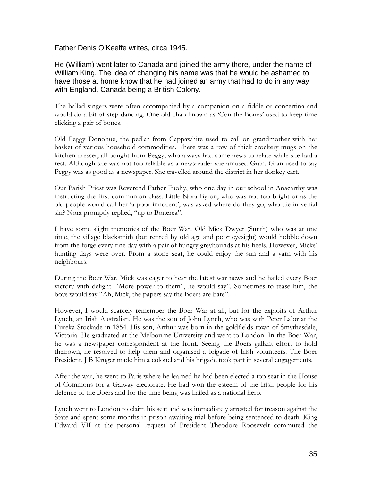Father Denis O'Keeffe writes, circa 1945.

He (William) went later to Canada and joined the army there, under the name of William King. The idea of changing his name was that he would be ashamed to have those at home know that he had joined an army that had to do in any way with England, Canada being a British Colony.

The ballad singers were often accompanied by a companion on a fiddle or concertina and would do a bit of step dancing. One old chap known as 'Con the Bones' used to keep time clicking a pair of bones.

Old Peggy Donohue, the pedlar from Cappawhite used to call on grandmother with her basket of various household commodities. There was a row of thick crockery mugs on the kitchen dresser, all bought from Peggy, who always had some news to relate while she had a rest. Although she was not too reliable as a newsreader she amused Gran. Gran used to say Peggy was as good as a newspaper. She travelled around the district in her donkey cart.

Our Parish Priest was Reverend Father Fuohy, who one day in our school in Anacarthy was instructing the first communion class. Little Nora Byron, who was not too bright or as the old people would call her 'a poor innocent', was asked where do they go, who die in venial sin? Nora promptly replied, "up to Bonerea".

I have some slight memories of the Boer War. Old Mick Dwyer (Smith) who was at one time, the village blacksmith (but retired by old age and poor eyesight) would hobble down from the forge every fine day with a pair of hungry greyhounds at his heels. However, Micks' hunting days were over. From a stone seat, he could enjoy the sun and a yarn with his neighbours.

During the Boer War, Mick was eager to hear the latest war news and he hailed every Boer victory with delight. "More power to them", he would say". Sometimes to tease him, the boys would say "Ah, Mick, the papers say the Boers are bate".

However, I would scarcely remember the Boer War at all, but for the exploits of Arthur Lynch, an Irish Australian. He was the son of John Lynch, who was with Peter Lalor at the Eureka Stockade in 1854. His son, Arthur was born in the goldfields town of Smythesdale, Victoria. He graduated at the Melbourne University and went to London. In the Boer War, he was a newspaper correspondent at the front. Seeing the Boers gallant effort to hold theirown, he resolved to help them and organised a brigade of Irish volunteers. The Boer President, J B Kruger made him a colonel and his brigade took part in several engagements.

After the war, he went to Paris where he learned he had been elected a top seat in the House of Commons for a Galway electorate. He had won the esteem of the Irish people for his defence of the Boers and for the time being was hailed as a national hero.

Lynch went to London to claim his seat and was immediately arrested for treason against the State and spent some months in prison awaiting trial before being sentenced to death. King Edward VII at the personal request of President Theodore Roosevelt commuted the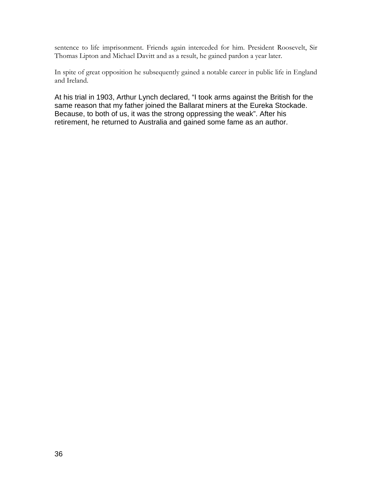sentence to life imprisonment. Friends again interceded for him. President Roosevelt, Sir Thomas Lipton and Michael Davitt and as a result, he gained pardon a year later.

In spite of great opposition he subsequently gained a notable career in public life in England and Ireland.

At his trial in 1903, Arthur Lynch declared, "I took arms against the British for the same reason that my father joined the Ballarat miners at the Eureka Stockade. Because, to both of us, it was the strong oppressing the weak". After his retirement, he returned to Australia and gained some fame as an author.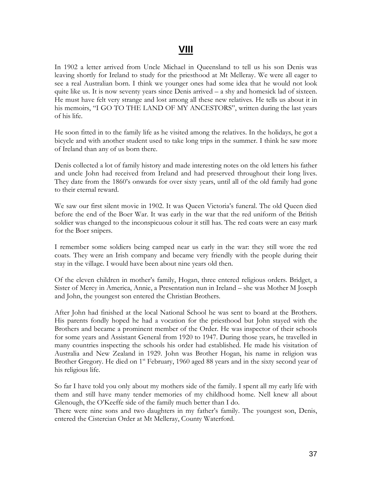# **VIII**

In 1902 a letter arrived from Uncle Michael in Queensland to tell us his son Denis was leaving shortly for Ireland to study for the priesthood at Mt Melleray. We were all eager to see a real Australian born. I think we younger ones had some idea that he would not look quite like us. It is now seventy years since Denis arrived – a shy and homesick lad of sixteen. He must have felt very strange and lost among all these new relatives. He tells us about it in his memoirs, "I GO TO THE LAND OF MY ANCESTORS", written during the last years of his life.

He soon fitted in to the family life as he visited among the relatives. In the holidays, he got a bicycle and with another student used to take long trips in the summer. I think he saw more of Ireland than any of us born there.

Denis collected a lot of family history and made interesting notes on the old letters his father and uncle John had received from Ireland and had preserved throughout their long lives. They date from the 1860's onwards for over sixty years, until all of the old family had gone to their eternal reward.

We saw our first silent movie in 1902. It was Queen Victoria's funeral. The old Queen died before the end of the Boer War. It was early in the war that the red uniform of the British soldier was changed to the inconspicuous colour it still has. The red coats were an easy mark for the Boer snipers.

I remember some soldiers being camped near us early in the war: they still wore the red coats. They were an Irish company and became very friendly with the people during their stay in the village. I would have been about nine years old then.

Of the eleven children in mother's family, Hogan, three entered religious orders. Bridget, a Sister of Mercy in America, Annie, a Presentation nun in Ireland – she was Mother M Joseph and John, the youngest son entered the Christian Brothers.

After John had finished at the local National School he was sent to board at the Brothers. His parents fondly hoped he had a vocation for the priesthood but John stayed with the Brothers and became a prominent member of the Order. He was inspector of their schools for some years and Assistant General from 1920 to 1947. During those years, he travelled in many countries inspecting the schools his order had established. He made his visitation of Australia and New Zealand in 1929. John was Brother Hogan, his name in religion was Brother Gregory. He died on 1<sup>st</sup> February, 1960 aged 88 years and in the sixty second year of his religious life.

So far I have told you only about my mothers side of the family. I spent all my early life with them and still have many tender memories of my childhood home. Nell knew all about Glenough, the O'Keeffe side of the family much better than I do.

There were nine sons and two daughters in my father's family. The youngest son, Denis, entered the Cistercian Order at Mt Melleray, County Waterford.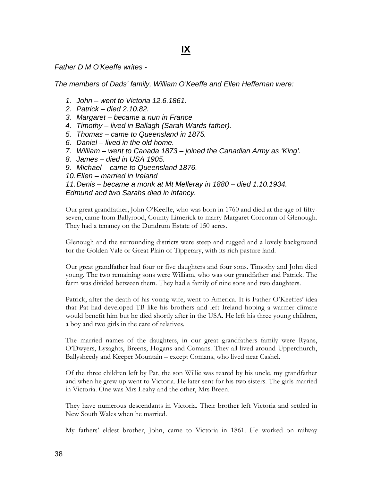*Father D M O'Keeffe writes -*

*The members of Dads' family, William O'Keeffe and Ellen Heffernan were:*

- *1. John – went to Victoria 12.6.1861.*
- *2. Patrick – died 2.10.82.*
- *3. Margaret – became a nun in France*
- *4. Timothy – lived in Ballagh (Sarah Wards father).*
- *5. Thomas – came to Queensland in 1875.*
- *6. Daniel – lived in the old home.*
- *7. William – went to Canada 1873 – joined the Canadian Army as 'King'.*
- *8. James – died in USA 1905.*
- *9. Michael – came to Queensland 1876.*

*10.Ellen – married in Ireland*

*11.Denis – became a monk at Mt Melleray in 1880 – died 1.10.1934. Edmund and two Sarahs died in infancy.*

Our great grandfather, John O'Keeffe, who was born in 1760 and died at the age of fiftyseven, came from Ballyrood, County Limerick to marry Margaret Corcoran of Glenough. They had a tenancy on the Dundrum Estate of 150 acres.

Glenough and the surrounding districts were steep and rugged and a lovely background for the Golden Vale or Great Plain of Tipperary, with its rich pasture land.

Our great grandfather had four or five daughters and four sons. Timothy and John died young. The two remaining sons were William, who was our grandfather and Patrick. The farm was divided between them. They had a family of nine sons and two daughters.

Patrick, after the death of his young wife, went to America. It is Father O'Keeffes' idea that Pat had developed TB like his brothers and left Ireland hoping a warmer climate would benefit him but he died shortly after in the USA. He left his three young children, a boy and two girls in the care of relatives.

The married names of the daughters, in our great grandfathers family were Ryans, O'Dwyers, Lysaghts, Breens, Hogans and Comans. They all lived around Upperchurch, Ballysheedy and Keeper Mountain – except Comans, who lived near Cashel.

Of the three children left by Pat, the son Willie was reared by his uncle, my grandfather and when he grew up went to Victoria. He later sent for his two sisters. The girls married in Victoria. One was Mrs Leahy and the other, Mrs Breen.

They have numerous descendants in Victoria. Their brother left Victoria and settled in New South Wales when he married.

My fathers' eldest brother, John, came to Victoria in 1861. He worked on railway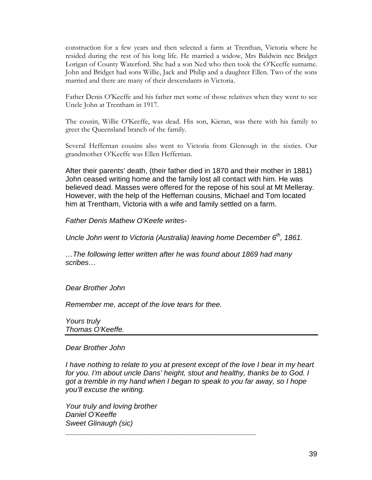construction for a few years and then selected a farm at Trenthan, Victoria where he resided during the rest of his long life. He married a widow, Mrs Baldwin nee Bridget Lorigan of County Waterford. She had a son Ned who then took the O'Keeffe surname. John and Bridget had sons Willie, Jack and Philip and a daughter Ellen. Two of the sons married and there are many of their descendants in Victoria.

Father Denis O'Keeffe and his father met some of those relatives when they went to see Uncle John at Trentham in 1917.

The cousin, Willie O'Keeffe, was dead. His son, Kieran, was there with his family to greet the Queensland branch of the family.

Several Heffernan cousins also went to Victoria from Glenough in the sixties. Our grandmother O'Keeffe was Ellen Heffernan.

After their parents' death, (their father died in 1870 and their mother in 1881) John ceased writing home and the family lost all contact with him. He was believed dead. Masses were offered for the repose of his soul at Mt Melleray. However, with the help of the Heffernan cousins, Michael and Tom located him at Trentham, Victoria with a wife and family settled on a farm.

*Father Denis Mathew O'Keefe writes-*

*Uncle John went to Victoria (Australia) leaving home December 6th, 1861.*

*…The following letter written after he was found about 1869 had many scribes…*

*Dear Brother John*

*Remember me, accept of the love tears for thee.*

*Yours truly Thomas O'Keeffe.*

#### *Dear Brother John*

*I have nothing to relate to you at present except of the love I bear in my heart for you. I'm about uncle Dans' height, stout and healthy, thanks be to God. I got a tremble in my hand when I began to speak to you far away, so I hope you'll excuse the writing.*

**\_\_\_\_\_\_\_\_\_\_\_\_\_\_\_\_\_\_\_\_\_\_\_\_\_\_\_\_\_\_\_\_\_\_\_\_\_\_\_\_\_\_\_\_\_\_\_**

*Your truly and loving brother Daniel O'Keeffe Sweet Glinaugh (sic)*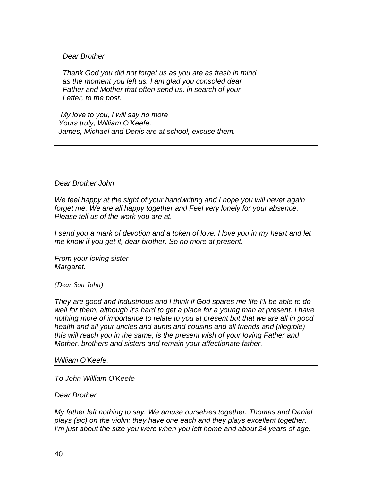#### *Dear Brother*

 *Thank God you did not forget us as you are as fresh in mind as the moment you left us. I am glad you consoled dear Father and Mother that often send us, in search of your Letter, to the post.* 

 *My love to you, I will say no more Yours truly, William O'Keefe. James, Michael and Denis are at school, excuse them.*

#### *Dear Brother John*

*We feel happy at the sight of your handwriting and I hope you will never again forget me. We are all happy together and Feel very lonely for your absence. Please tell us of the work you are at.*

*I send you a mark of devotion and a token of love. I love you in my heart and let me know if you get it, dear brother. So no more at present.*

*From your loving sister Margaret.*

#### *(Dear Son John)*

*They are good and industrious and I think if God spares me life I'll be able to do well for them, although it's hard to get a place for a young man at present. I have nothing more of importance to relate to you at present but that we are all in good health and all your uncles and aunts and cousins and all friends and (illegible) this will reach you in the same, is the present wish of your loving Father and Mother, brothers and sisters and remain your affectionate father.*

#### *William O'Keefe.*

*To John William O'Keefe*

*Dear Brother*

*My father left nothing to say. We amuse ourselves together. Thomas and Daniel plays (sic) on the violin: they have one each and they plays excellent together. I'm just about the size you were when you left home and about 24 years of age.*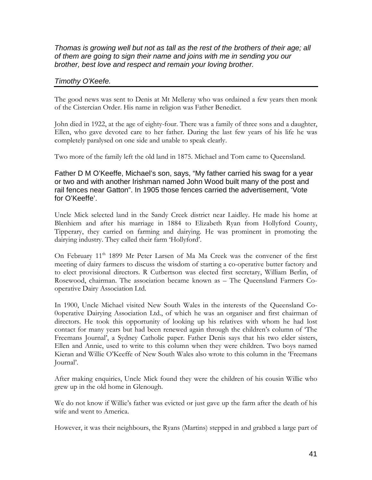*Thomas is growing well but not as tall as the rest of the brothers of their age; all of them are going to sign their name and joins with me in sending you our brother, best love and respect and remain your loving brother.*

#### *Timothy O'Keefe.*

The good news was sent to Denis at Mt Melleray who was ordained a few years then monk of the Cistercian Order. His name in religion was Father Benedict.

John died in 1922, at the age of eighty-four. There was a family of three sons and a daughter, Ellen, who gave devoted care to her father. During the last few years of his life he was completely paralysed on one side and unable to speak clearly.

Two more of the family left the old land in 1875. Michael and Tom came to Queensland.

Father D M O'Keeffe, Michael's son, says, "My father carried his swag for a year or two and with another Irishman named John Wood built many of the post and rail fences near Gatton". In 1905 those fences carried the advertisement, 'Vote for O'Keeffe'.

Uncle Mick selected land in the Sandy Creek district near Laidley. He made his home at Blenhiem and after his marriage in 1884 to Elizabeth Ryan from Hollyford County, Tipperary, they carried on farming and dairying. He was prominent in promoting the dairying industry. They called their farm 'Hollyford'.

On February  $11<sup>th</sup>$  1899 Mr Peter Larsen of Ma Ma Creek was the convener of the first meeting of dairy farmers to discuss the wisdom of starting a co-operative butter factory and to elect provisional directors. R Cutbertson was elected first secretary, William Berlin, of Rosewood, chairman. The association became known as – The Queensland Farmers Cooperative Dairy Association Ltd.

In 1900, Uncle Michael visited New South Wales in the interests of the Queensland Co-0operative Dairying Association Ltd., of which he was an organiser and first chairman of directors. He took this opportunity of looking up his relatives with whom he had lost contact for many years but had been renewed again through the children's column of 'The Freemans Journal', a Sydney Catholic paper. Father Denis says that his two elder sisters, Ellen and Annie, used to write to this column when they were children. Two boys named Kieran and Willie O'Keeffe of New South Wales also wrote to this column in the 'Freemans Journal'.

After making enquiries, Uncle Mick found they were the children of his cousin Willie who grew up in the old home in Glenough.

We do not know if Willie's father was evicted or just gave up the farm after the death of his wife and went to America.

However, it was their neighbours, the Ryans (Martins) stepped in and grabbed a large part of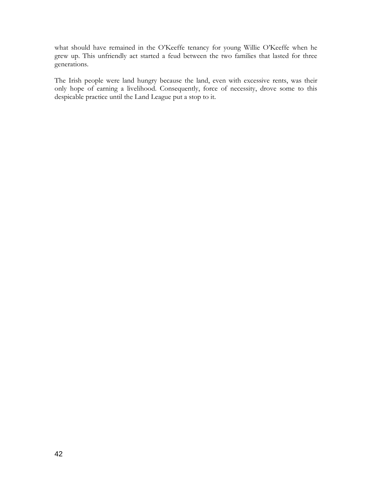what should have remained in the O'Keeffe tenancy for young Willie O'Keeffe when he grew up. This unfriendly act started a feud between the two families that lasted for three generations.

The Irish people were land hungry because the land, even with excessive rents, was their only hope of earning a livelihood. Consequently, force of necessity, drove some to this despicable practice until the Land League put a stop to it.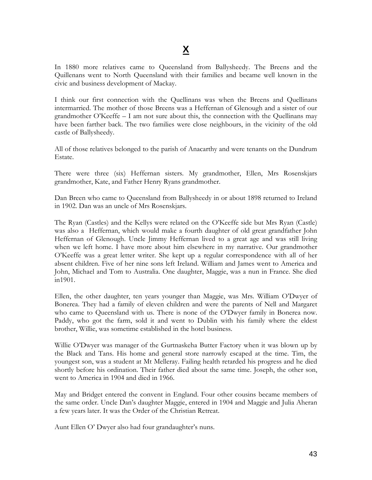In 1880 more relatives came to Queensland from Ballysheedy. The Breens and the Quillenans went to North Queensland with their families and became well known in the civic and business development of Mackay.

I think our first connection with the Quellinans was when the Breens and Quellinans intermarried. The mother of those Breens was a Heffernan of Glenough and a sister of our grandmother O'Keeffe – I am not sure about this, the connection with the Quellinans may have been farther back. The two families were close neighbours, in the vicinity of the old castle of Ballysheedy.

All of those relatives belonged to the parish of Anacarthy and were tenants on the Dundrum Estate.

There were three (six) Heffernan sisters. My grandmother, Ellen, Mrs Rosenskjars grandmother, Kate, and Father Henry Ryans grandmother.

Dan Breen who came to Queensland from Ballysheedy in or about 1898 returned to Ireland in 1902. Dan was an uncle of Mrs Rosenskjars.

The Ryan (Castles) and the Kellys were related on the O'Keeffe side but Mrs Ryan (Castle) was also a Heffernan, which would make a fourth daughter of old great grandfather John Heffernan of Glenough. Uncle Jimmy Heffernan lived to a great age and was still living when we left home. I have more about him elsewhere in my narrative. Our grandmother O'Keeffe was a great letter writer. She kept up a regular correspondence with all of her absent children. Five of her nine sons left Ireland. William and James went to America and John, Michael and Tom to Australia. One daughter, Maggie, was a nun in France. She died in1901.

Ellen, the other daughter, ten years younger than Maggie, was Mrs. William O'Dwyer of Bonerea. They had a family of eleven children and were the parents of Nell and Margaret who came to Queensland with us. There is none of the O'Dwyer family in Bonerea now. Paddy, who got the farm, sold it and went to Dublin with his family where the eldest brother, Willie, was sometime established in the hotel business.

Willie O'Dwyer was manager of the Gurtnaskeha Butter Factory when it was blown up by the Black and Tans. His home and general store narrowly escaped at the time. Tim, the youngest son, was a student at Mt Melleray. Failing health retarded his progress and he died shortly before his ordination. Their father died about the same time. Joseph, the other son, went to America in 1904 and died in 1966.

May and Bridget entered the convent in England. Four other cousins became members of the same order. Uncle Dan's daughter Maggie, entered in 1904 and Maggie and Julia Aheran a few years later. It was the Order of the Christian Retreat.

Aunt Ellen O' Dwyer also had four grandaughter's nuns.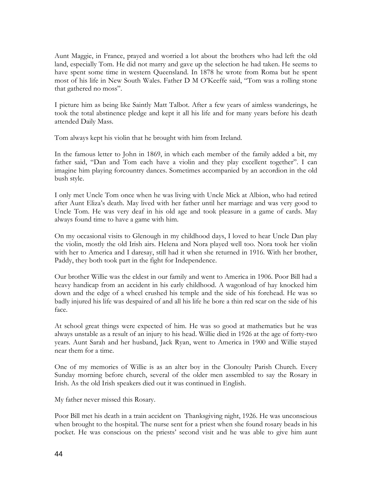Aunt Maggie, in France, prayed and worried a lot about the brothers who had left the old land, especially Tom. He did not marry and gave up the selection he had taken. He seems to have spent some time in western Queensland. In 1878 he wrote from Roma but he spent most of his life in New South Wales. Father D M O'Keeffe said, "Tom was a rolling stone that gathered no moss".

I picture him as being like Saintly Matt Talbot. After a few years of aimless wanderings, he took the total abstinence pledge and kept it all his life and for many years before his death attended Daily Mass.

Tom always kept his violin that he brought with him from Ireland.

In the famous letter to John in 1869, in which each member of the family added a bit, my father said, "Dan and Tom each have a violin and they play excellent together". I can imagine him playing forcountry dances. Sometimes accompanied by an accordion in the old bush style.

I only met Uncle Tom once when he was living with Uncle Mick at Albion, who had retired after Aunt Eliza's death. May lived with her father until her marriage and was very good to Uncle Tom. He was very deaf in his old age and took pleasure in a game of cards. May always found time to have a game with him.

On my occasional visits to Glenough in my childhood days, I loved to hear Uncle Dan play the violin, mostly the old Irish airs. Helena and Nora played well too. Nora took her violin with her to America and I daresay, still had it when she returned in 1916. With her brother, Paddy, they both took part in the fight for Independence.

Our brother Willie was the eldest in our family and went to America in 1906. Poor Bill had a heavy handicap from an accident in his early childhood. A wagonload of hay knocked him down and the edge of a wheel crushed his temple and the side of his forehead. He was so badly injured his life was despaired of and all his life he bore a thin red scar on the side of his face.

At school great things were expected of him. He was so good at mathematics but he was always unstable as a result of an injury to his head. Willie died in 1926 at the age of forty-two years. Aunt Sarah and her husband, Jack Ryan, went to America in 1900 and Willie stayed near them for a time.

One of my memories of Willie is as an alter boy in the Clonoulty Parish Church. Every Sunday morning before church, several of the older men assembled to say the Rosary in Irish. As the old Irish speakers died out it was continued in English.

My father never missed this Rosary.

Poor Bill met his death in a train accident on Thanksgiving night, 1926. He was unconscious when brought to the hospital. The nurse sent for a priest when she found rosary beads in his pocket. He was conscious on the priests' second visit and he was able to give him aunt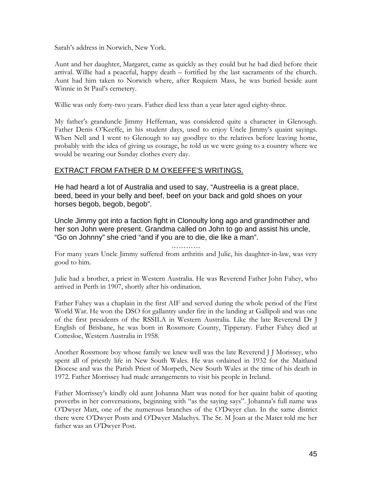Sarah's address in Norwich, New York.

Aunt and her daughter, Margaret, came as quickly as they could but he had died before their arrival. Willie had a peaceful, happy death – fortified by the last sacraments of the church. Aunt had him taken to Norwich where, after Requiem Mass, he was buried beside aunt Winnie in St Paul's cemetery.

Willie was only forty-two years. Father died less than a year later aged eighty-three.

My father's granduncle Jimmy Heffernan, was considered quite a character in Glenough. Father Denis O'Keeffe, in his student days, used to enjoy Uncle Jimmy's quaint sayings. When Nell and I went to Glenough to say goodbye to the relatives before leaving home, probably with the idea of giving us courage, he told us we were going to a country where we would be wearing our Sunday clothes every day.

#### EXTRACT FROM FATHER D M O'KEEFFE'S WRITINGS.

He had heard a lot of Australia and used to say, "Austreelia is a great place, beed, beed in your belly and beef, beef on your back and gold shoes on your horses begob, begob, begob".

Uncle Jimmy got into a faction fight in Clonoulty long ago and grandmother and her son John were present. Grandma called on John to go and assist his uncle, "Go on Johnny" she cried "and if you are to die, die like a man".

…………

For many years Uncle Jimmy suffered from arthritis and Julie, his daughter-in-law, was very good to him.

Julie had a brother, a priest in Western Australia. He was Reverend Father John Fahey, who arrived in Perth in 1907, shortly after his ordination.

Father Fahey was a chaplain in the first AIF and served during the whole period of the First World War. He won the DSO for gallantry under fire in the landing at Gallipoli and was one of the first presidents of the RSSILA in Western Australia. Like the late Reverend Dr J English of Brisbane, he was born in Rossmore County, Tipperary. Father Fahey died at Cottesloe, Western Australia in 1958.

Another Rossmore boy whose family we knew well was the late Reverend J J Morissey, who spent all of priestly life in New South Wales. He was ordained in 1932 for the Maitland Diocese and was the Parish Priest of Morpeth, New South Wales at the time of his death in 1972. Father Morrissey had made arrangements to visit his people in Ireland.

Father Morrissey's kindly old aunt Johanna Matt was noted for her quaint habit of quoting proverbs in her conversations, beginning with "as the saying says". Johanna's full name was O'Dwyer Matt, one of the numerous branches of the O'Dwyer clan. In the same district there were O'Dwyer Posts and O'Dwyer Malachys. The Sr. M Joan at the Mater told me her father was an O'Dwyer Post.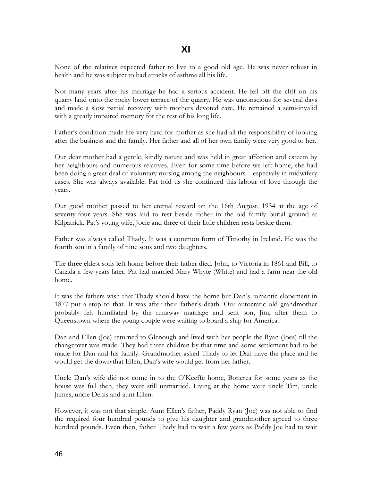None of the relatives expected father to live to a good old age. He was never robust in health and he was subject to bad attacks of asthma all his life.

Not many years after his marriage he had a serious accident. He fell off the cliff on his quarry land onto the rocky lower terrace of the quarry. He was unconscious for several days and made a slow partial recovery with mothers devoted care. He remained a semi-invalid with a greatly impaired memory for the rest of his long life.

Father's condition made life very hard for mother as she had all the responsibility of looking after the business and the family. Her father and all of her own family were very good to her.

Our dear mother had a gentle, kindly nature and was held in great affection and esteem by her neighbours and numerous relatives. Even for some time before we left home, she had been doing a great deal of voluntary nursing among the neighbours – especially in midwifery cases. She was always available. Pat told us she continued this labour of love through the years.

Our good mother passed to her eternal reward on the 16th August, 1934 at the age of seventy-four years. She was laid to rest beside father in the old family burial ground at Kilpatrick. Pat's young wife, Jocie and three of their little children rests beside them.

Father was always called Thady. It was a common form of Timothy in Ireland. He was the fourth son in a family of nine sons and two daughters.

The three eldest sons left home before their father died. John, to Victoria in 1861 and Bill, to Canada a few years later. Pat had married Mary Whyte (White) and had a farm near the old home.

It was the fathers wish that Thady should have the home but Dan's romantic elopement in 1877 put a stop to that. It was after their father's death. Our autocratic old grandmother probably felt humiliated by the runaway marriage and sent son, Jim, after them to Queenstown where the young couple were waiting to board a ship for America.

Dan and Ellen (Joe) returned to Glenough and lived with her people the Ryan (Joes) till the changeover was made. They had three children by that time and some settlement had to be made for Dan and his family. Grandmother asked Thady to let Dan have the place and he would get the dowrythat Ellen, Dan's wife would get from her father.

Uncle Dan's wife did not come in to the O'Keeffe home, Bonerea for some years as the house was full then, they were still unmarried. Living at the home were uncle Tim, uncle James, uncle Denis and aunt Ellen.

However, it was not that simple. Aunt Ellen's father, Paddy Ryan (Joe) was not able to find the required four hundred pounds to give his daughter and grandmother agreed to three hundred pounds. Even then, father Thady had to wait a few years as Paddy Joe had to wait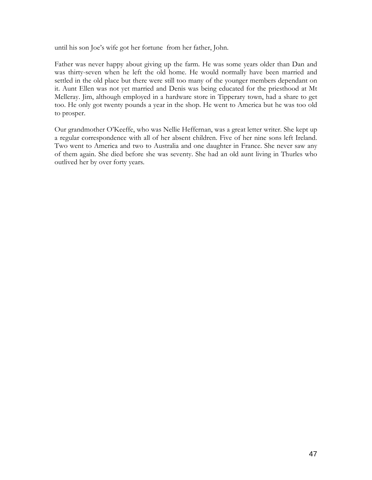until his son Joe's wife got her fortune from her father, John.

Father was never happy about giving up the farm. He was some years older than Dan and was thirty-seven when he left the old home. He would normally have been married and settled in the old place but there were still too many of the younger members dependant on it. Aunt Ellen was not yet married and Denis was being educated for the priesthood at Mt Melleray. Jim, although employed in a hardware store in Tipperary town, had a share to get too. He only got twenty pounds a year in the shop. He went to America but he was too old to prosper.

Our grandmother O'Keeffe, who was Nellie Heffernan, was a great letter writer. She kept up a regular correspondence with all of her absent children. Five of her nine sons left Ireland. Two went to America and two to Australia and one daughter in France. She never saw any of them again. She died before she was seventy. She had an old aunt living in Thurles who outlived her by over forty years.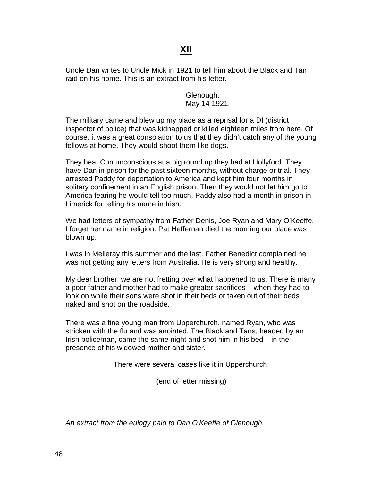# **XII**

Uncle Dan writes to Uncle Mick in 1921 to tell him about the Black and Tan raid on his home. This is an extract from his letter.

> Glenough. May 14 1921.

The military came and blew up my place as a reprisal for a DI (district inspector of police) that was kidnapped or killed eighteen miles from here. Of course, it was a great consolation to us that they didn't catch any of the young fellows at home. They would shoot them like dogs.

They beat Con unconscious at a big round up they had at Hollyford. They have Dan in prison for the past sixteen months, without charge or trial. They arrested Paddy for deportation to America and kept him four months in solitary confinement in an English prison. Then they would not let him go to America fearing he would tell too much. Paddy also had a month in prison in Limerick for telling his name in Irish.

We had letters of sympathy from Father Denis, Joe Ryan and Mary O'Keeffe. I forget her name in religion. Pat Heffernan died the morning our place was blown up.

I was in Melleray this summer and the last. Father Benedict complained he was not getting any letters from Australia. He is very strong and healthy.

My dear brother, we are not fretting over what happened to us. There is many a poor father and mother had to make greater sacrifices – when they had to look on while their sons were shot in their beds or taken out of their beds naked and shot on the roadside.

There was a fine young man from Upperchurch, named Ryan, who was stricken with the flu and was anointed. The Black and Tans, headed by an Irish policeman, came the same night and shot him in his bed – in the presence of his widowed mother and sister.

There were several cases like it in Upperchurch.

(end of letter missing)

*An extract from the eulogy paid to Dan O'Keeffe of Glenough.*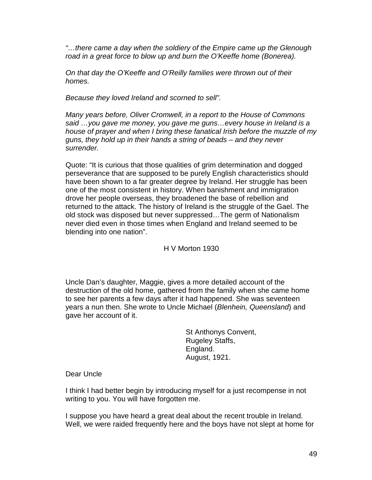*"…there came a day when the soldiery of the Empire came up the Glenough road in a great force to blow up and burn the O'Keeffe home (Bonerea).*

*On that day the O'Keeffe and O'Reilly families were thrown out of their homes.*

*Because they loved Ireland and scorned to sell".*

*Many years before, Oliver Cromwell, in a report to the House of Commons said …you gave me money, you gave me guns…every house in Ireland is a house of prayer and when I bring these fanatical Irish before the muzzle of my guns, they hold up in their hands a string of beads – and they never surrender.*

Quote: "It is curious that those qualities of grim determination and dogged perseverance that are supposed to be purely English characteristics should have been shown to a far greater degree by Ireland. Her struggle has been one of the most consistent in history. When banishment and immigration drove her people overseas, they broadened the base of rebellion and returned to the attack. The history of Ireland is the struggle of the Gael. The old stock was disposed but never suppressed…The germ of Nationalism never died even in those times when England and Ireland seemed to be blending into one nation".

H V Morton 1930

Uncle Dan's daughter, Maggie, gives a more detailed account of the destruction of the old home, gathered from the family when she came home to see her parents a few days after it had happened. She was seventeen years a nun then. She wrote to Uncle Michael (*Blenhein, Queensland*) and gave her account of it.

> St Anthonys Convent, Rugeley Staffs, England. August, 1921.

Dear Uncle

I think I had better begin by introducing myself for a just recompense in not writing to you. You will have forgotten me.

I suppose you have heard a great deal about the recent trouble in Ireland. Well, we were raided frequently here and the boys have not slept at home for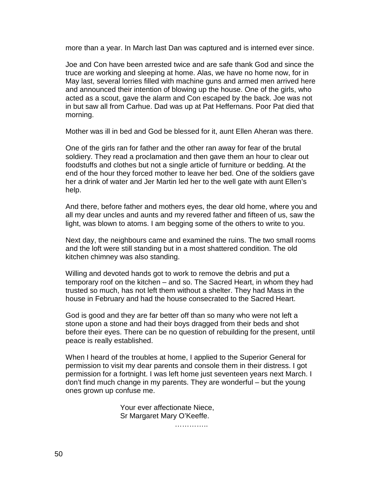more than a year. In March last Dan was captured and is interned ever since.

Joe and Con have been arrested twice and are safe thank God and since the truce are working and sleeping at home. Alas, we have no home now, for in May last, several lorries filled with machine guns and armed men arrived here and announced their intention of blowing up the house. One of the girls, who acted as a scout, gave the alarm and Con escaped by the back. Joe was not in but saw all from Carhue. Dad was up at Pat Heffernans. Poor Pat died that morning.

Mother was ill in bed and God be blessed for it, aunt Ellen Aheran was there.

One of the girls ran for father and the other ran away for fear of the brutal soldiery. They read a proclamation and then gave them an hour to clear out foodstuffs and clothes but not a single article of furniture or bedding. At the end of the hour they forced mother to leave her bed. One of the soldiers gave her a drink of water and Jer Martin led her to the well gate with aunt Ellen's help.

And there, before father and mothers eyes, the dear old home, where you and all my dear uncles and aunts and my revered father and fifteen of us, saw the light, was blown to atoms. I am begging some of the others to write to you.

Next day, the neighbours came and examined the ruins. The two small rooms and the loft were still standing but in a most shattered condition. The old kitchen chimney was also standing.

Willing and devoted hands got to work to remove the debris and put a temporary roof on the kitchen – and so. The Sacred Heart, in whom they had trusted so much, has not left them without a shelter. They had Mass in the house in February and had the house consecrated to the Sacred Heart.

God is good and they are far better off than so many who were not left a stone upon a stone and had their boys dragged from their beds and shot before their eyes. There can be no question of rebuilding for the present, until peace is really established.

When I heard of the troubles at home, I applied to the Superior General for permission to visit my dear parents and console them in their distress. I got permission for a fortnight. I was left home just seventeen years next March. I don't find much change in my parents. They are wonderful – but the young ones grown up confuse me.

> Your ever affectionate Niece, Sr Margaret Mary O'Keeffe.

> > …………..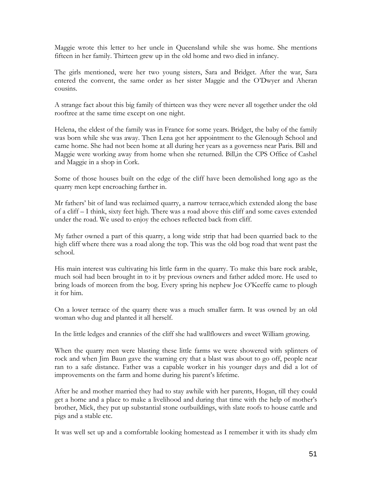Maggie wrote this letter to her uncle in Queensland while she was home. She mentions fifteen in her family. Thirteen grew up in the old home and two died in infancy.

The girls mentioned, were her two young sisters, Sara and Bridget. After the war, Sara entered the convent, the same order as her sister Maggie and the O'Dwyer and Aheran cousins.

A strange fact about this big family of thirteen was they were never all together under the old rooftree at the same time except on one night.

Helena, the eldest of the family was in France for some years. Bridget, the baby of the family was born while she was away. Then Lena got her appointment to the Glenough School and came home. She had not been home at all during her years as a governess near Paris. Bill and Maggie were working away from home when she returned. Bill,in the CPS Office of Cashel and Maggie in a shop in Cork.

Some of those houses built on the edge of the cliff have been demolished long ago as the quarry men kept encroaching farther in.

Mr fathers' bit of land was reclaimed quarry, a narrow terrace,which extended along the base of a cliff – I think, sixty feet high. There was a road above this cliff and some caves extended under the road. We used to enjoy the echoes reflected back from cliff.

My father owned a part of this quarry, a long wide strip that had been quarried back to the high cliff where there was a road along the top. This was the old bog road that went past the school.

His main interest was cultivating his little farm in the quarry. To make this bare rock arable, much soil had been brought in to it by previous owners and father added more. He used to bring loads of moreen from the bog. Every spring his nephew Joe O'Keeffe came to plough it for him.

On a lower terrace of the quarry there was a much smaller farm. It was owned by an old woman who dug and planted it all herself.

In the little ledges and crannies of the cliff she had wallflowers and sweet William growing.

When the quarry men were blasting these little farms we were showered with splinters of rock and when Jim Baun gave the warning cry that a blast was about to go off, people near ran to a safe distance. Father was a capable worker in his younger days and did a lot of improvements on the farm and home during his parent's lifetime.

After he and mother married they had to stay awhile with her parents, Hogan, till they could get a home and a place to make a livelihood and during that time with the help of mother's brother, Mick, they put up substantial stone outbuildings, with slate roofs to house cattle and pigs and a stable etc.

It was well set up and a comfortable looking homestead as I remember it with its shady elm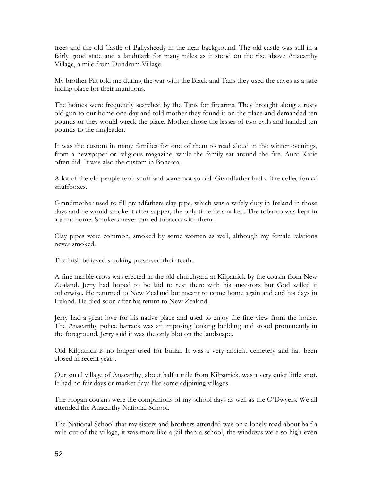trees and the old Castle of Ballysheedy in the near background. The old castle was still in a fairly good state and a landmark for many miles as it stood on the rise above Anacarthy Village, a mile from Dundrum Village.

My brother Pat told me during the war with the Black and Tans they used the caves as a safe hiding place for their munitions.

The homes were frequently searched by the Tans for firearms. They brought along a rusty old gun to our home one day and told mother they found it on the place and demanded ten pounds or they would wreck the place. Mother chose the lesser of two evils and handed ten pounds to the ringleader.

It was the custom in many families for one of them to read aloud in the winter evenings, from a newspaper or religious magazine, while the family sat around the fire. Aunt Katie often did. It was also the custom in Bonerea.

A lot of the old people took snuff and some not so old. Grandfather had a fine collection of snuffboxes.

Grandmother used to fill grandfathers clay pipe, which was a wifely duty in Ireland in those days and he would smoke it after supper, the only time he smoked. The tobacco was kept in a jar at home. Smokers never carried tobacco with them.

Clay pipes were common, smoked by some women as well, although my female relations never smoked.

The Irish believed smoking preserved their teeth.

A fine marble cross was erected in the old churchyard at Kilpatrick by the cousin from New Zealand. Jerry had hoped to be laid to rest there with his ancestors but God willed it otherwise. He returned to New Zealand but meant to come home again and end his days in Ireland. He died soon after his return to New Zealand.

Jerry had a great love for his native place and used to enjoy the fine view from the house. The Anacarthy police barrack was an imposing looking building and stood prominently in the foreground. Jerry said it was the only blot on the landscape.

Old Kilpatrick is no longer used for burial. It was a very ancient cemetery and has been closed in recent years.

Our small village of Anacarthy, about half a mile from Kilpatrick, was a very quiet little spot. It had no fair days or market days like some adjoining villages.

The Hogan cousins were the companions of my school days as well as the O'Dwyers. We all attended the Anacarthy National School.

The National School that my sisters and brothers attended was on a lonely road about half a mile out of the village, it was more like a jail than a school, the windows were so high even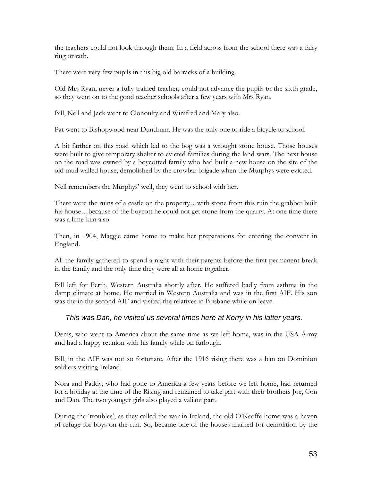the teachers could not look through them. In a field across from the school there was a fairy ring or rath.

There were very few pupils in this big old barracks of a building.

Old Mrs Ryan, never a fully trained teacher, could not advance the pupils to the sixth grade, so they went on to the good teacher schools after a few years with Mrs Ryan.

Bill, Nell and Jack went to Clonoulty and Winifred and Mary also.

Pat went to Bishopwood near Dundrum. He was the only one to ride a bicycle to school.

A bit farther on this road which led to the bog was a wrought stone house. Those houses were built to give temporary shelter to evicted families during the land wars. The next house on the road was owned by a boycotted family who had built a new house on the site of the old mud walled house, demolished by the crowbar brigade when the Murphys were evicted.

Nell remembers the Murphys' well, they went to school with her.

There were the ruins of a castle on the property…with stone from this ruin the grabber built his house…because of the boycott he could not get stone from the quarry. At one time there was a lime-kiln also.

Then, in 1904, Maggie came home to make her preparations for entering the convent in England.

All the family gathered to spend a night with their parents before the first permanent break in the family and the only time they were all at home together.

Bill left for Perth, Western Australia shortly after. He suffered badly from asthma in the damp climate at home. He married in Western Australia and was in the first AIF. His son was the in the second AIF and visited the relatives in Brisbane while on leave.

#### *This was Dan, he visited us several times here at Kerry in his latter years.*

Denis, who went to America about the same time as we left home, was in the USA Army and had a happy reunion with his family while on furlough.

Bill, in the AIF was not so fortunate. After the 1916 rising there was a ban on Dominion soldiers visiting Ireland.

Nora and Paddy, who had gone to America a few years before we left home, had returned for a holiday at the time of the Rising and remained to take part with their brothers Joe, Con and Dan. The two younger girls also played a valiant part.

During the 'troubles', as they called the war in Ireland, the old O'Keeffe home was a haven of refuge for boys on the run. So, became one of the houses marked for demolition by the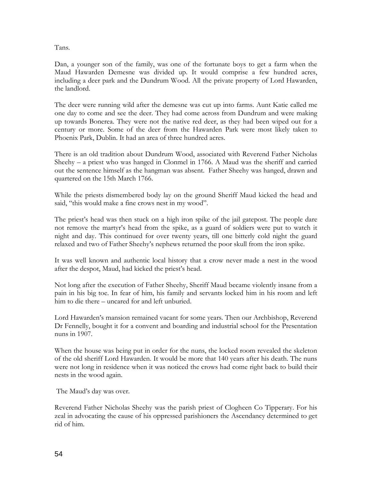Tans.

Dan, a younger son of the family, was one of the fortunate boys to get a farm when the Maud Hawarden Demesne was divided up. It would comprise a few hundred acres, including a deer park and the Dundrum Wood. All the private property of Lord Hawarden, the landlord.

The deer were running wild after the demesne was cut up into farms. Aunt Katie called me one day to come and see the deer. They had come across from Dundrum and were making up towards Bonerea. They were not the native red deer, as they had been wiped out for a century or more. Some of the deer from the Hawarden Park were most likely taken to Phoenix Park, Dublin. It had an area of three hundred acres.

There is an old tradition about Dundrum Wood, associated with Reverend Father Nicholas Sheehy – a priest who was hanged in Clonmel in 1766. A Maud was the sheriff and carried out the sentence himself as the hangman was absent. Father Sheehy was hanged, drawn and quartered on the 15th March 1766.

While the priests dismembered body lay on the ground Sheriff Maud kicked the head and said, "this would make a fine crows nest in my wood".

The priest's head was then stuck on a high iron spike of the jail gatepost. The people dare not remove the martyr's head from the spike, as a guard of soldiers were put to watch it night and day. This continued for over twenty years, till one bitterly cold night the guard relaxed and two of Father Sheehy's nephews returned the poor skull from the iron spike.

It was well known and authentic local history that a crow never made a nest in the wood after the despot, Maud, had kicked the priest's head.

Not long after the execution of Father Sheehy, Sheriff Maud became violently insane from a pain in his big toe. In fear of him, his family and servants locked him in his room and left him to die there – uncared for and left unburied.

Lord Hawarden's mansion remained vacant for some years. Then our Archbishop, Reverend Dr Fennelly, bought it for a convent and boarding and industrial school for the Presentation nuns in 1907.

When the house was being put in order for the nuns, the locked room revealed the skeleton of the old sheriff Lord Hawarden. It would be more that 140 years after his death. The nuns were not long in residence when it was noticed the crows had come right back to build their nests in the wood again.

The Maud's day was over.

Reverend Father Nicholas Sheehy was the parish priest of Clogheen Co Tipperary. For his zeal in advocating the cause of his oppressed parishioners the Ascendancy determined to get rid of him.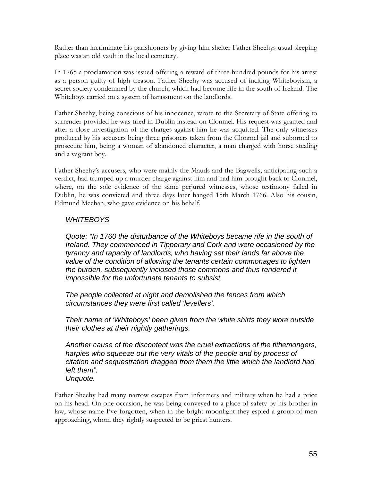Rather than incriminate his parishioners by giving him shelter Father Sheehys usual sleeping place was an old vault in the local cemetery.

In 1765 a proclamation was issued offering a reward of three hundred pounds for his arrest as a person guilty of high treason. Father Sheehy was accused of inciting Whiteboyism, a secret society condemned by the church, which had become rife in the south of Ireland. The Whiteboys carried on a system of harassment on the landlords.

Father Sheehy, being conscious of his innocence, wrote to the Secretary of State offering to surrender provided he was tried in Dublin instead on Clonmel. His request was granted and after a close investigation of the charges against him he was acquitted. The only witnesses produced by his accusers being three prisoners taken from the Clonmel jail and suborned to prosecute him, being a woman of abandoned character, a man charged with horse stealing and a vagrant boy.

Father Sheehy's accusers, who were mainly the Mauds and the Bagwells, anticipating such a verdict, had trumped up a murder charge against him and had him brought back to Clonmel, where, on the sole evidence of the same perjured witnesses, whose testimony failed in Dublin, he was convicted and three days later hanged 15th March 1766. Also his cousin, Edmund Meehan, who gave evidence on his behalf.

#### *WHITEBOYS*

*Quote: "In 1760 the disturbance of the Whiteboys became rife in the south of Ireland. They commenced in Tipperary and Cork and were occasioned by the tyranny and rapacity of landlords, who having set their lands far above the value of the condition of allowing the tenants certain commonages to lighten the burden, subsequently inclosed those commons and thus rendered it impossible for the unfortunate tenants to subsist.*

*The people collected at night and demolished the fences from which circumstances they were first called 'levellers'.*

*Their name of 'Whiteboys' been given from the white shirts they wore outside their clothes at their nightly gatherings.*

*Another cause of the discontent was the cruel extractions of the tithemongers, harpies who squeeze out the very vitals of the people and by process of citation and sequestration dragged from them the little which the landlord had left them". Unquote.*

Father Sheehy had many narrow escapes from informers and military when he had a price on his head. On one occasion, he was being conveyed to a place of safety by his brother in law, whose name I've forgotten, when in the bright moonlight they espied a group of men approaching, whom they rightly suspected to be priest hunters.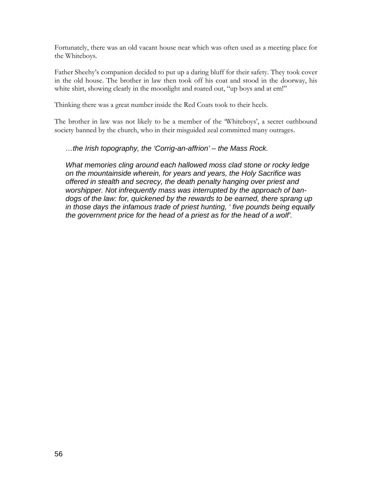Fortunately, there was an old vacant house near which was often used as a meeting place for the Whiteboys.

Father Sheehy's companion decided to put up a daring bluff for their safety. They took cover in the old house. The brother in law then took off his coat and stood in the doorway, his white shirt, showing clearly in the moonlight and roared out, "up boys and at em!"

Thinking there was a great number inside the Red Coats took to their heels.

The brother in law was not likely to be a member of the 'Whiteboys', a secret oathbound society banned by the church, who in their misguided zeal committed many outrages.

#### *…the Irish topography, the 'Corrig-an-affrion' – the Mass Rock.*

*What memories cling around each hallowed moss clad stone or rocky ledge on the mountainside wherein, for years and years, the Holy Sacrifice was offered in stealth and secrecy, the death penalty hanging over priest and worshipper. Not infrequently mass was interrupted by the approach of bandogs of the law: for, quickened by the rewards to be earned, there sprang up in those days the infamous trade of priest hunting, ' five pounds being equally the government price for the head of a priest as for the head of a wolf'.*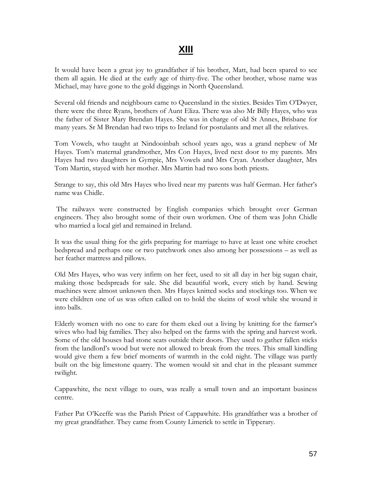# **XIII**

It would have been a great joy to grandfather if his brother, Matt, had been spared to see them all again. He died at the early age of thirty-five. The other brother, whose name was Michael, may have gone to the gold diggings in North Queensland.

Several old friends and neighbours came to Queensland in the sixties. Besides Tim O'Dwyer, there were the three Ryans, brothers of Aunt Eliza. There was also Mr Billy Hayes, who was the father of Sister Mary Brendan Hayes. She was in charge of old St Annes, Brisbane for many years. Sr M Brendan had two trips to Ireland for postulants and met all the relatives.

Tom Vowels, who taught at Nindooinbah school years ago, was a grand nephew of Mr Hayes. Tom's maternal grandmother, Mrs Con Hayes, lived next door to my parents. Mrs Hayes had two daughters in Gympie, Mrs Vowels and Mrs Cryan. Another daughter, Mrs Tom Martin, stayed with her mother. Mrs Martin had two sons both priests.

Strange to say, this old Mrs Hayes who lived near my parents was half German. Her father's name was Chidle.

The railways were constructed by English companies which brought over German engineers. They also brought some of their own workmen. One of them was John Chidle who married a local girl and remained in Ireland.

It was the usual thing for the girls preparing for marriage to have at least one white crochet bedspread and perhaps one or two patchwork ones also among her possessions – as well as her feather mattress and pillows.

Old Mrs Hayes, who was very infirm on her feet, used to sit all day in her big sugan chair, making those bedspreads for sale. She did beautiful work, every stich by hand. Sewing machines were almost unknown then. Mrs Hayes knitted socks and stockings too. When we were children one of us was often called on to hold the skeins of wool while she wound it into balls.

Elderly women with no one to care for them eked out a living by knitting for the farmer's wives who had big families. They also helped on the farms with the spring and harvest work. Some of the old houses had stone seats outside their doors. They used to gather fallen sticks from the landlord's wood but were not allowed to break from the trees. This small kindling would give them a few brief moments of warmth in the cold night. The village was partly built on the big limestone quarry. The women would sit and chat in the pleasant summer twilight.

Cappawhite, the next village to ours, was really a small town and an important business centre.

Father Pat O'Keeffe was the Parish Priest of Cappawhite. His grandfather was a brother of my great grandfather. They came from County Limerick to settle in Tipperary.